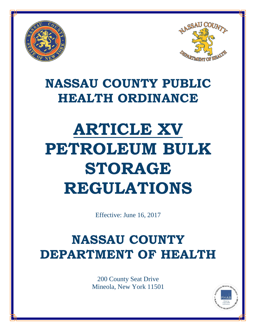



# **NASSAU COUNTY PUBLIC HEALTH ORDINANCE**

# **ARTICLE XV PETROLEUM BULK STORAGE REGULATIONS**

Effective: June 16, 2017

# **NASSAU COUNTY DEPARTMENT OF HEALTH**

200 County Seat Drive Mineola, New York 11501

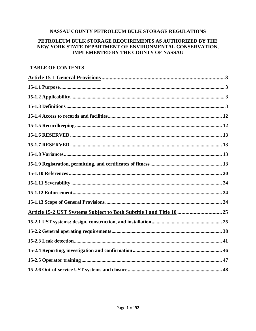#### NASSAU COUNTY PETROLEUM BULK STORAGE REGULATIONS

# PETROLEUM BULK STORAGE REQUIREMENTS AS AUTHORIZED BY THE NEW YORK STATE DEPARTMENT OF ENVIRONMENTAL CONSERVATION, **IMPLEMENTED BY THE COUNTY OF NASSAU**

## **TABLE OF CONTENTS**

| Article 15-2 UST Systems Subject to Both Subtitle I and Title 10  25 |
|----------------------------------------------------------------------|
|                                                                      |
|                                                                      |
|                                                                      |
|                                                                      |
|                                                                      |
|                                                                      |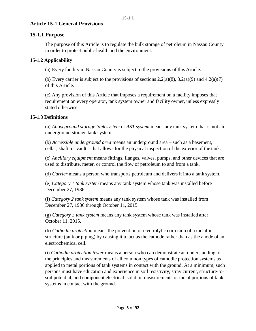# <span id="page-3-0"></span>**Article 15-1 General Provisions**

# <span id="page-3-1"></span>**15-1.1 Purpose**

The purpose of this Article is to regulate the bulk storage of petroleum in Nassau County in order to protect public health and the environment.

## <span id="page-3-2"></span>**15-1.2 Applicability**

(a) Every facility in Nassau County is subject to the provisions of this Article.

(b) Every carrier is subject to the provisions of sections  $2.2(a)(8)$ ,  $3.2(a)(9)$  and  $4.2(a)(7)$ of this Article.

(c) Any provision of this Article that imposes a requirement on a facility imposes that requirement on every operator, tank system owner and facility owner, unless expressly stated otherwise.

#### <span id="page-3-3"></span>**15-1.3 Definitions**

(a) *Aboveground storage tank system* or *AST system* means any tank system that is not an underground storage tank system.

(b) *Accessible underground area* means an underground area – such as a basement, cellar, shaft, or vault – that allows for the physical inspection of the exterior of the tank.

(c) *Ancillary equipment* means fittings, flanges, valves, pumps, and other devices that are used to distribute, meter, or control the flow of petroleum to and from a tank.

(d) *Carrier* means a person who transports petroleum and delivers it into a tank system.

(e) *Category 1 tank system* means any tank system whose tank was installed before December 27, 1986.

(f) *Category 2 tank system* means any tank system whose tank was installed from December 27, 1986 through October 11, 2015.

(g) *Category 3 tank system* means any tank system whose tank was installed after October 11, 2015.

(h) *Cathodic protection* means the prevention of electrolytic corrosion of a metallic structure (tank or piping) by causing it to act as the cathode rather than as the anode of an electrochemical cell.

(i) *Cathodic protection tester* means a person who can demonstrate an understanding of the principles and measurements of all common types of cathodic protection systems as applied to metal portions of tank systems in contact with the ground. At a minimum, such persons must have education and experience in soil resistivity, stray current, structure-tosoil potential, and component electrical isolation measurements of metal portions of tank systems in contact with the ground.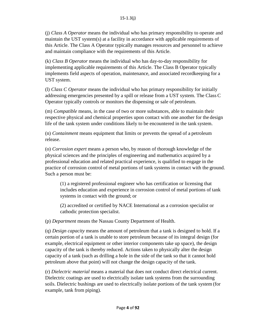(j) *Class A Operator* means the individual who has primary responsibility to operate and maintain the UST system(s) at a facility in accordance with applicable requirements of this Article. The Class A Operator typically manages resources and personnel to achieve and maintain compliance with the requirements of this Article.

(k) *Class B Operator* means the individual who has day-to-day responsibility for implementing applicable requirements of this Article. The Class B Operator typically implements field aspects of operation, maintenance, and associated recordkeeping for a UST system.

(l) *Class C Operator* means the individual who has primary responsibility for initially addressing emergencies presented by a spill or release from a UST system. The Class C Operator typically controls or monitors the dispensing or sale of petroleum.

(m) *Compatible* means, in the case of two or more substances, able to maintain their respective physical and chemical properties upon contact with one another for the design life of the tank system under conditions likely to be encountered in the tank system.

(n) *Containment* means equipment that limits or prevents the spread of a petroleum release.

(o) *Corrosion expert* means a person who, by reason of thorough knowledge of the physical sciences and the principles of engineering and mathematics acquired by a professional education and related practical experience, is qualified to engage in the practice of corrosion control of metal portions of tank systems in contact with the ground. Such a person must be:

(1) a registered professional engineer who has certification or licensing that includes education and experience in corrosion control of metal portions of tank systems in contact with the ground; or

(2) accredited or certified by NACE International as a corrosion specialist or cathodic protection specialist.

(p) *Department* means the Nassau County Department of Health.

(q) *Design capacity* means the amount of petroleum that a tank is designed to hold. If a certain portion of a tank is unable to store petroleum because of its integral design (for example, electrical equipment or other interior components take up space), the design capacity of the tank is thereby reduced. Actions taken to physically alter the design capacity of a tank (such as drilling a hole in the side of the tank so that it cannot hold petroleum above that point) will not change the design capacity of the tank.

(r) *Dielectric material* means a material that does not conduct direct electrical current. Dielectric coatings are used to electrically isolate tank systems from the surrounding soils. Dielectric bushings are used to electrically isolate portions of the tank system (for example, tank from piping).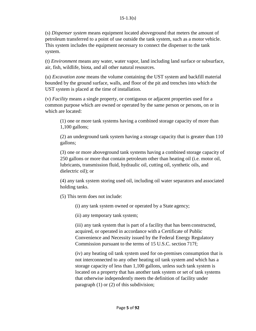(s) *Dispenser system* means equipment located aboveground that meters the amount of petroleum transferred to a point of use outside the tank system, such as a motor vehicle. This system includes the equipment necessary to connect the dispenser to the tank system.

(t) *Environment* means any water, water vapor, land including land surface or subsurface, air, fish, wildlife, biota, and all other natural resources.

(u) *Excavation zone* means the volume containing the UST system and backfill material bounded by the ground surface, walls, and floor of the pit and trenches into which the UST system is placed at the time of installation.

(v) *Facility* means a single property, or contiguous or adjacent properties used for a common purpose which are owned or operated by the same person or persons, on or in which are located:

(1) one or more tank systems having a combined storage capacity of more than 1,100 gallons;

(2) an underground tank system having a storage capacity that is greater than 110 gallons;

(3) one or more aboveground tank systems having a combined storage capacity of 250 gallons or more that contain petroleum other than heating oil (i.e. motor oil, lubricants, transmission fluid, hydraulic oil, cutting oil, synthetic oils, and dielectric oil); or

(4) any tank system storing used oil, including oil water separators and associated holding tanks.

(5) This term does not include:

(i) any tank system owned or operated by a State agency;

(ii) any temporary tank system;

(iii) any tank system that is part of a facility that has been constructed, acquired, or operated in accordance with a Certificate of Public Convenience and Necessity issued by the Federal Energy Regulatory Commission pursuant to the terms of 15 U.S.C. section 717f;

(iv) any heating oil tank system used for on-premises consumption that is not interconnected to any other heating oil tank system and which has a storage capacity of less than 1,100 gallons, unless such tank system is located on a property that has another tank system or set of tank systems that otherwise independently meets the definition of facility under paragraph (1) or (2) of this subdivision;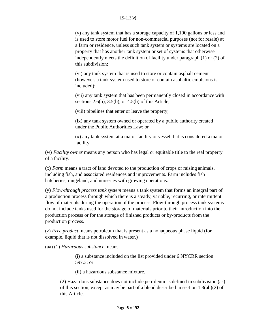(v) any tank system that has a storage capacity of 1,100 gallons or less and is used to store motor fuel for non-commercial purposes (not for resale) at a farm or residence, unless such tank system or systems are located on a property that has another tank system or set of systems that otherwise independently meets the definition of facility under paragraph (1) or (2) of this subdivision;

(vi) any tank system that is used to store or contain asphalt cement (however, a tank system used to store or contain asphaltic emulsions is included);

(vii) any tank system that has been permanently closed in accordance with sections  $2.6(b)$ ,  $3.5(b)$ , or  $4.5(b)$  of this Article;

(viii) pipelines that enter or leave the property;

(ix) any tank system owned or operated by a public authority created under the Public Authorities Law; or

(x) any tank system at a major facility or vessel that is considered a major facility.

(w) *Facility owner* means any person who has legal or equitable title to the real property of a facility.

(x) *Farm* means a tract of land devoted to the production of crops or raising animals, including fish, and associated residences and improvements. Farm includes fish hatcheries, rangeland, and nurseries with growing operations.

(y) *Flow-through process tank system* means a tank system that forms an integral part of a production process through which there is a steady, variable, recurring, or intermittent flow of materials during the operation of the process. Flow-through process tank systems do not include tanks used for the storage of materials prior to their introduction into the production process or for the storage of finished products or by-products from the production process.

(z) *Free product* means petroleum that is present as a nonaqueous phase liquid (for example, liquid that is not dissolved in water.)

(aa) (1) *Hazardous substance* means:

(i) a substance included on the list provided under 6 NYCRR section 597.3; or

(ii) a hazardous substance mixture.

(2) Hazardous substance does not include petroleum as defined in subdivision (as) of this section, except as may be part of a blend described in section  $1.3(ab)(2)$  of this Article.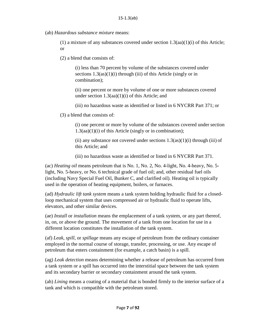(ab) *Hazardous substance mixture* means:

 $(1)$  a mixture of any substances covered under section 1.3(aa)(1)(i) of this Article; or

(2) a blend that consists of:

(i) less than 70 percent by volume of the substances covered under sections  $1.3(a<sub>s</sub>)(1)(i)$  through (iii) of this Article (singly or in combination);

(ii) one percent or more by volume of one or more substances covered under section  $1.3(aa)(1)(i)$  of this Article; and

(iii) no hazardous waste as identified or listed in 6 NYCRR Part 371; or

(3) a blend that consists of:

(i) one percent or more by volume of the substances covered under section 1.3(aa)(1)(i) of this Article (singly or in combination);

(ii) any substance not covered under sections  $1.3(a s)(1)(i)$  through (iii) of this Article; and

(iii) no hazardous waste as identified or listed in 6 NYCRR Part 371.

(ac) *Heating oil* means petroleum that is No. 1, No. 2, No. 4-light, No. 4-heavy, No. 5 light, No. 5-heavy, or No. 6 technical grade of fuel oil; and, other residual fuel oils (including Navy Special Fuel Oil, Bunker C, and clarified oil). Heating oil is typically used in the operation of heating equipment, boilers, or furnaces.

(ad) *Hydraulic lift tank system* means a tank system holding hydraulic fluid for a closedloop mechanical system that uses compressed air or hydraulic fluid to operate lifts, elevators, and other similar devices.

(ae) *Install* or *installation* means the emplacement of a tank system, or any part thereof, in, on, or above the ground. The movement of a tank from one location for use in a different location constitutes the installation of the tank system.

(af) *Leak*, *spill*, or *spillage* means any escape of petroleum from the ordinary container employed in the normal course of storage, transfer, processing, or use. Any escape of petroleum that enters containment (for example, a catch basin) is a spill.

(ag) *Leak detection* means determining whether a release of petroleum has occurred from a tank system or a spill has occurred into the interstitial space between the tank system and its secondary barrier or secondary containment around the tank system.

(ah) *Lining* means a coating of a material that is bonded firmly to the interior surface of a tank and which is compatible with the petroleum stored.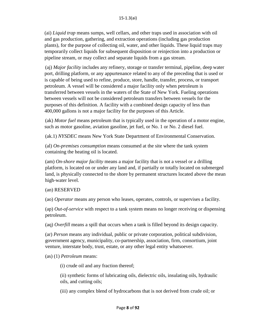(ai) *Liquid trap* means sumps, well cellars, and other traps used in association with oil and gas production, gathering, and extraction operations (including gas production plants), for the purpose of collecting oil, water, and other liquids. These liquid traps may temporarily collect liquids for subsequent disposition or reinjection into a production or pipeline stream, or may collect and separate liquids from a gas stream.

(aj) *Major facility* includes any refinery, storage or transfer terminal, pipeline, deep water port, drilling platform, or any appurtenance related to any of the preceding that is used or is capable of being used to refine, produce, store, handle, transfer, process, or transport petroleum. A vessel will be considered a major facility only when petroleum is transferred between vessels in the waters of the State of New York. Fueling operations between vessels will not be considered petroleum transfers between vessels for the purposes of this definition. A facility with a combined design capacity of less than 400,000 gallons is not a major facility for the purposes of this Article.

(ak) *Motor fuel* means petroleum that is typically used in the operation of a motor engine, such as motor gasoline, aviation gasoline, jet fuel, or No. 1 or No. 2 diesel fuel.

(ak.1) *NYSDEC* means New York State Department of Environmental Conservation.

(al) *On-premises consumption* means consumed at the site where the tank system containing the heating oil is located.

(am) *On-shore major facility* means a major facility that is not a vessel or a drilling platform, is located on or under any land and, if partially or totally located on submerged land, is physically connected to the shore by permanent structures located above the mean high-water level.

#### (an) RESERVED

(ao) *Operator* means any person who leases, operates, controls, or supervises a facility.

(ap) *Out-of-service* with respect to a tank system means no longer receiving or dispensing petroleum.

(aq) *Overfill* means a spill that occurs when a tank is filled beyond its design capacity.

(ar) *Person* means any individual, public or private corporation, political subdivision, government agency, municipality, co-partnership, association, firm, consortium, joint venture, interstate body, trust, estate, or any other legal entity whatsoever.

(as) (1) *Petroleum* means:

(i) crude oil and any fraction thereof;

(ii) synthetic forms of lubricating oils, dielectric oils, insulating oils, hydraulic oils, and cutting oils;

(iii) any complex blend of hydrocarbons that is not derived from crude oil; or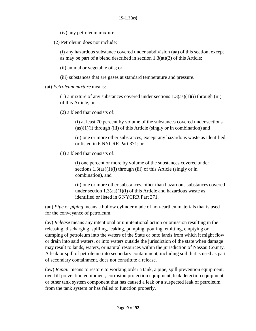(iv) any petroleum mixture.

(2) Petroleum does not include:

(i) any hazardous substance covered under subdivision (aa) of this section, except as may be part of a blend described in section  $1.3(at)(2)$  of this Article;

(ii) animal or vegetable oils; or

(iii) substances that are gases at standard temperature and pressure.

(at) *Petroleum mixture* means:

(1) a mixture of any substances covered under sections  $1.3(as)(1)(i)$  through (iii) of this Article; or

(2) a blend that consists of:

(i) at least 70 percent by volume of the substances covered undersections  $(a s)(1)(i)$  through (iii) of this Article (singly or in combination) and

(ii) one or more other substances, except any hazardous waste as identified or listed in 6 NYCRR Part 371; or

(3) a blend that consists of:

(i) one percent or more by volume of the substances covered under sections  $1.3(as)(1)(i)$  through (iii) of this Article (singly or in combination), and

(ii) one or more other substances, other than hazardous substances covered under section  $1.3(aa)(1)(i)$  of this Article and hazardous waste as identified or listed in 6 NYCRR Part 371.

(au) *Pipe* or *piping* means a hollow cylinder made of non-earthen materials that is used for the conveyance of petroleum.

(av) *Release* means any intentional or unintentional action or omission resulting in the releasing, discharging, spilling, leaking, pumping, pouring, emitting, emptying or dumping of petroleum into the waters of the State or onto lands from which it might flow or drain into said waters, or into waters outside the jurisdiction of the state when damage may result to lands, waters, or natural resources within the jurisdiction of Nassau County. A leak or spill of petroleum into secondary containment, including soil that is used as part of secondary containment, does not constitute a release.

(aw) *Repair* means to restore to working order a tank, a pipe, spill prevention equipment, overfill prevention equipment, corrosion protection equipment, leak detection equipment, or other tank system component that has caused a leak or a suspected leak of petroleum from the tank system or has failed to function properly.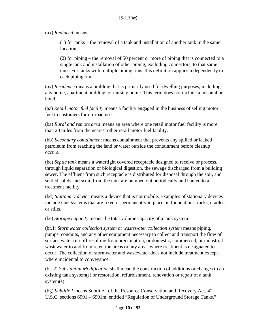(ax) *Replaced* means:

(1) for tanks – the removal of a tank and installation of another tank in the same location.

(2) for piping – the removal of 50 percent or more of piping that is connected to a single tank and installation of other piping, excluding connectors, to that same tank. For tanks with multiple piping runs, this definition applies independently to each piping run.

(ay) *Residence* means a building that is primarily used for dwelling purposes, including any home, apartment building, or nursing home. This term does not include a hospital or hotel.

(az) *Retail motor fuel facility* means a facility engaged in the business of selling motor fuel to customers for on-road use.

(ba) *Rural and remote area* means an area where one retail motor fuel facility is more than 20 miles from the nearest other retail motor fuel facility.

(bb) *Secondary containment* means containment that prevents any spilled or leaked petroleum from reaching the land or water outside the containment before cleanup occurs.

(bc) *Septic tank* means a watertight covered receptacle designed to receive or process, through liquid separation or biological digestion, the sewage discharged from a building sewer. The effluent from such receptacle is distributed for disposal through the soil, and settled solids and scum from the tank are pumped out periodically and hauled to a treatment facility.

(bd) *Stationary device* means a device that is not mobile. Examples of stationary devices include tank systems that are fixed or permanently in place on foundations, racks, cradles, or stilts.

(be) *Storage capacity* means the total volume capacity of a tank system.

(bf.1) *Stormwater collection system* or *wastewater collection system* means piping, pumps, conduits, and any other equipment necessary to collect and transport the flow of surface water run-off resulting from precipitation, or domestic, commercial, or industrial wastewater to and from retention areas or any areas where treatment is designated to occur. The collection of stormwater and wastewater does not include treatment except where incidental to conveyance.

(bf. 2) *Substantial Modification* shall mean the construction of additions or changes to an existing tank system(s) or restoration, refurbishment, renovation or repair of a tank system(s).

(bg) *Subtitle I* means Subtitle I of the Resource Conservation and Recovery Act, 42 U.S.C. sections 6991 – 6991m, entitled "Regulation of Underground Storage Tanks."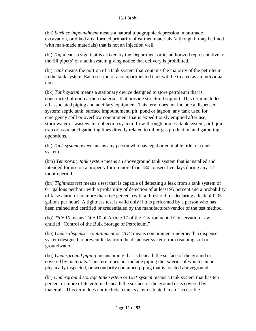(bh) *Surface impoundment* means a natural topographic depression, man-made excavation, or diked area formed primarily of earthen materials (although it may be lined with man-made materials) that is not an injection well.

(bi) *Tag* means a sign that is affixed by the Department or its authorized representative to the fill pipe(s) of a tank system giving notice that delivery is prohibited.

(bj) *Tank* means the portion of a tank system that contains the majority of the petroleum in the tank system. Each section of a compartmented tank will be treated as an individual tank.

(bk) *Tank system* means a stationary device designed to store petroleum that is constructed of non-earthen materials that provide structural support. This term includes all associated piping and ancillary equipment. This term does not include a dispenser system; septic tank; surface impoundment, pit, pond or lagoon; any tank used for emergency spill or overflow containment that is expeditiously emptied after use; stormwater or wastewater collection system; flow-through process tank system; or liquid trap or associated gathering lines directly related to oil or gas production and gathering operations.

(bl) *Tank system owner* means any person who has legal or equitable title to a tank system.

(bm) *Temporary tank system* means an aboveground tank system that is installed and intended for use on a property for no more than 180 consecutive days during any 12 month period.

(bn) *Tightness test* means a test that is capable of detecting a leak from a tank system of 0.1 gallons per hour with a probability of detection of at least 95 percent and a probability of false alarm of no more than five percent (with a threshold for declaring a leak of 0.05 gallons per hour). A tightness test is valid only if it is performed by a person who has been trained and certified or credentialed by the manufacturer/vendor of the test method.

(bo) *Title 10* means Title 10 of Article 17 of the Environmental Conservation Law entitled "Control of the Bulk Storage of Petroleum."

(bp) *Under-dispenser containment* or *UDC* means containment underneath a dispenser system designed to prevent leaks from the dispenser system from reaching soil or groundwater.

(bq) *Underground piping* means piping that is beneath the surface of the ground or covered by materials. This term does not include piping the exterior of which can be physically inspected, or secondarily contained piping that is located aboveground.

(br) *Underground storage tank system* or *UST system* means a tank system that has ten percent or more of its volume beneath the surface of the ground or is covered by materials. This term does not include a tank system situated in an "accessible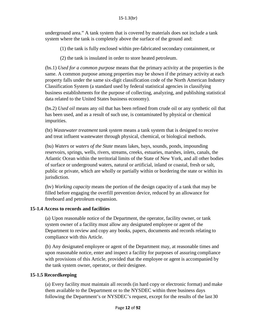underground area." A tank system that is covered by materials does not include a tank system where the tank is completely above the surface of the ground and:

(1) the tank is fully enclosed within pre-fabricated secondary containment, or

(2) the tank is insulated in order to store heated petroleum.

(bs.1) *Used for a common purpose* means that the primary activity at the properties is the same. A common purpose among properties may be shown if the primary activity at each property falls under the same six-digit classification code of the North American Industry Classification System (a standard used by federal statistical agencies in classifying business establishments for the purpose of collecting, analyzing, and publishing statistical data related to the United States business economy).

(bs.2) *Used oil* means any oil that has been refined from crude oil or any synthetic oil that has been used, and as a result of such use, is contaminated by physical or chemical impurities.

(bt) *Wastewater treatment tank system* means a tank system that is designed to receive and treat influent wastewater through physical, chemical, or biological methods.

(bu) *Waters* or *waters of the State* means lakes, bays, sounds, ponds, impounding reservoirs, springs, wells, rivers, streams, creeks, estuaries, marshes, inlets, canals, the Atlantic Ocean within the territorial limits of the State of New York, and all other bodies of surface or underground waters, natural or artificial, inland or coastal, fresh or salt, public or private, which are wholly or partially within or bordering the state or within its jurisdiction.

(bv) *Working capacity* means the portion of the design capacity of a tank that may be filled before engaging the overfill prevention device, reduced by an allowance for freeboard and petroleum expansion.

# <span id="page-12-0"></span>**15-1.4 Access to records and facilities**

(a) Upon reasonable notice of the Department, the operator, facility owner, or tank system owner of a facility must allow any designated employee or agent of the Department to review and copy any books, papers, documents and records relating to compliance with this Article.

(b) Any designated employee or agent of the Department may, at reasonable times and upon reasonable notice, enter and inspect a facility for purposes of assuring compliance with provisions of this Article, provided that the employee or agent is accompanied by the tank system owner, operator, or their designee.

#### <span id="page-12-1"></span>**15-1.5 Recordkeeping**

(a) Every facility must maintain all records (in hard copy or electronic format) and make them available to the Department or to the NYSDEC within three business days following the Department's or NYSDEC's request, except for the results of the last 30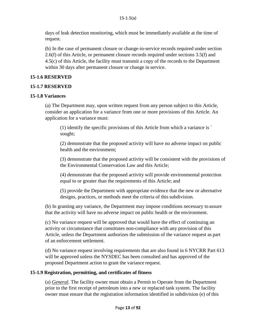days of leak detection monitoring, which must be immediately available at the time of request.

(b) In the case of permanent closure or change-in-service records required under section 2.6(f) of this Article, or permanent closure records required under sections 3.5(f) and 4.5(c) of this Article, the facility must transmit a copy of the records to the Department within 30 days after permanent closure or change in service.

# <span id="page-13-0"></span>**15-1.6 RESERVED**

#### <span id="page-13-1"></span>**15-1.7 RESERVED**

#### <span id="page-13-2"></span>**15-1.8 Variances**

(a) The Department may, upon written request from any person subject to this Article, consider an application for a variance from one or more provisions of this Article. An application for a variance must:

(1) identify the specific provisions of this Article from which a variance is ` sought;

(2) demonstrate that the proposed activity will have no adverse impact on public health and the environment;

(3) demonstrate that the proposed activity will be consistent with the provisions of the Environmental Conservation Law and this Article;

(4) demonstrate that the proposed activity will provide environmental protection equal to or greater than the requirements of this Article; and

(5) provide the Department with appropriate evidence that the new or alternative designs, practices, or methods meet the criteria of this subdivision.

(b) In granting any variance, the Department may impose conditions necessary to assure that the activity will have no adverse impact on public health or the environment.

(c) No variance request will be approved that would have the effect of continuing an activity or circumstance that constitutes non-compliance with any provision of this Article, unless the Department authorizes the submission of the variance request as part of an enforcement settlement.

(d) No variance request involving requirements that are also found in 6 NYCRR Part 613 will be approved unless the NYSDEC has been consulted and has approved of the proposed Department action to grant the variance request.

#### <span id="page-13-3"></span>**15-1.9 Registration, permitting, and certificates of fitness**

(a) *General*. The facility owner must obtain a Permit to Operate from the Department prior to the first receipt of petroleum into a new or replaced tank system. The facility owner must ensure that the registration information identified in subdivision (e) of this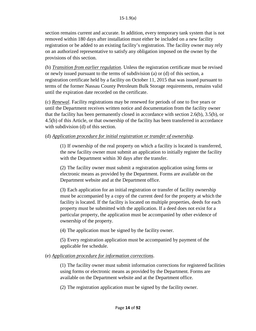section remains current and accurate. In addition, every temporary tank system that is not removed within 180 days after installation must either be included on a new facility registration or be added to an existing facility's registration. The facility owner may rely on an authorized representative to satisfy any obligation imposed on the owner by the provisions of this section.

(b) *Transition from earlier regulation*. Unless the registration certificate must be revised or newly issued pursuant to the terms of subdivision (a) or (d) of this section, a registration certificate held by a facility on October 11, 2015 that was issued pursuant to terms of the former Nassau County Petroleum Bulk Storage requirements, remains valid until the expiration date recorded on the certificate.

(c) *Renewal*. Facility registrations may be renewed for periods of one to five years or until the Department receives written notice and documentation from the facility owner that the facility has been permanently closed in accordance with section 2.6(b), 3.5(b), or 4.5(b) of this Article, or that ownership of the facility has been transferred in accordance with subdivision (d) of this section.

#### (d) *Application procedure for initial registration or transfer of ownership*.

(1) If ownership of the real property on which a facility is located is transferred, the new facility owner must submit an application to initially register the facility with the Department within 30 days after the transfer.

(2) The facility owner must submit a registration application using forms or electronic means as provided by the Department. Forms are available on the Department website and at the Department office.

(3) Each application for an initial registration or transfer of facility ownership must be accompanied by a copy of the current deed for the property at which the facility is located. If the facility is located on multiple properties, deeds for each property must be submitted with the application. If a deed does not exist for a particular property, the application must be accompanied by other evidence of ownership of the property.

(4) The application must be signed by the facility owner.

(5) Every registration application must be accompanied by payment of the applicable fee schedule.

#### (e) *Application procedure for information corrections*.

(1) The facility owner must submit information corrections for registered facilities using forms or electronic means as provided by the Department. Forms are available on the Department website and at the Department office.

(2) The registration application must be signed by the facility owner.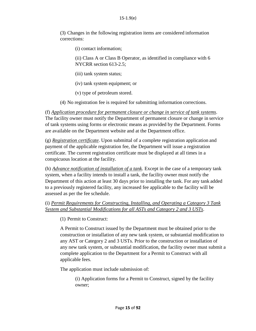(3) Changes in the following registration items are considered information corrections:

(i) contact information;

(ii) Class A or Class B Operator, as identified in compliance with 6 NYCRR section 613-2.5;

(iii) tank system status;

(iv) tank system equipment; or

(v) type of petroleum stored.

(4) No registration fee is required for submitting information corrections.

(f) *Application procedure for permanent closure or change in service of tank systems*. The facility owner must notify the Department of permanent closure or change in service of tank systems using forms or electronic means as provided by the Department. Forms are available on the Department website and at the Department office.

(g) *Registration certificate*. Upon submittal of a complete registration application and payment of the applicable registration fee, the Department will issue a registration certificate. The current registration certificate must be displayed at all times in a conspicuous location at the facility.

(h) *Advance notification of installation of a tank*. Except in the case of a temporary tank system, when a facility intends to install a tank, the facility owner must notify the Department of this action at least 30 days prior to installing the tank. For any tank added to a previously registered facility, any increased fee applicable to the facility will be assessed as per the fee schedule.

(i) *Permit Requirements for Constructing, Installing, and Operating a Category 3 Tank System and Substantial Modifications for all ASTs and Category 2 and 3 USTs*.

(1) Permit to Construct:

A Permit to Construct issued by the Department must be obtained prior to the construction or installation of any new tank system, or substantial modification to any AST or Category 2 and 3 USTs. Prior to the construction or installation of any new tank system, or substantial modification, the facility owner must submit a complete application to the Department for a Permit to Construct with all applicable fees.

The application must include submission of:

(i) Application forms for a Permit to Construct, signed by the facility owner;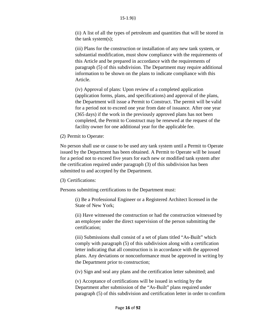(ii) A list of all the types of petroleum and quantities that will be stored in the tank system(s);

(iii) Plans for the construction or installation of any new tank system, or substantial modification, must show compliance with the requirements of this Article and be prepared in accordance with the requirements of paragraph (5) of this subdivision. The Department may require additional information to be shown on the plans to indicate compliance with this Article.

(iv) Approval of plans: Upon review of a completed application (application forms, plans, and specifications) and approval of the plans, the Department will issue a Permit to Construct. The permit will be valid for a period not to exceed one year from date of issuance. After one year (365 days) if the work in the previously approved plans has not been completed, the Permit to Construct may be renewed at the request of the facility owner for one additional year for the applicable fee.

(2) Permit to Operate:

No person shall use or cause to be used any tank system until a Permit to Operate issued by the Department has been obtained. A Permit to Operate will be issued for a period not to exceed five years for each new or modified tank system after the certification required under paragraph (3) of this subdivision has been submitted to and accepted by the Department.

(3) Certifications:

Persons submitting certifications to the Department must:

(i) Be a Professional Engineer or a Registered Architect licensed in the State of New York;

(ii) Have witnessed the construction or had the construction witnessed by an employee under the direct supervision of the person submitting the certification;

(iii) Submissions shall consist of a set of plans titled "As-Built" which comply with paragraph (5) of this subdivision along with a certification letter indicating that all construction is in accordance with the approved plans. Any deviations or nonconformance must be approved in writing by the Department prior to construction;

(iv) Sign and seal any plans and the certification letter submitted; and

(v) Acceptance of certifications will be issued in writing by the Department after submission of the "As-Built" plans required under paragraph (5) of this subdivision and certification letter in order to confirm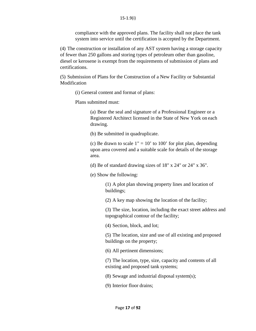compliance with the approved plans. The facility shall not place the tank system into service until the certification is accepted by the Department.

(4) The construction or installation of any AST system having a storage capacity of fewer than 250 gallons and storing types of petroleum other than gasoline, diesel or kerosene is exempt from the requirements of submission of plans and certifications.

(5) Submission of Plans for the Construction of a New Facility or Substantial Modification

(i) General content and format of plans:

Plans submitted must:

(a) Bear the seal and signature of a Professional Engineer or a Registered Architect licensed in the State of New York on each drawing.

(b) Be submitted in quadruplicate.

(c) Be drawn to scale  $1" = 10'$  to 100' for plot plan, depending upon area covered and a suitable scale for details of the storage area.

(d) Be of standard drawing sizes of 18" x 24" or 24" x 36".

(e) Show the following:

(1) A plot plan showing property lines and location of buildings;

(2) A key map showing the location of the facility;

(3) The size, location, including the exact street address and topographical contour of the facility;

(4) Section, block, and lot;

(5) The location, size and use of all existing and proposed buildings on the property;

(6) All pertinent dimensions;

(7) The location, type, size, capacity and contents of all existing and proposed tank systems;

(8) Sewage and industrial disposal system(s);

(9) Interior floor drains;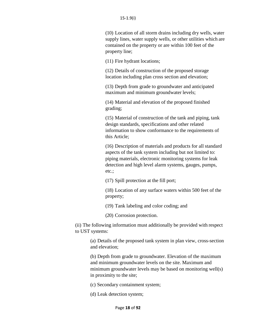(10) Location of all storm drains including dry wells, water supply lines, water supply wells, or other utilities which are contained on the property or are within 100 feet of the property line;

(11) Fire hydrant locations;

(12) Details of construction of the proposed storage location including plan cross section and elevation;

(13) Depth from grade to groundwater and anticipated maximum and minimum groundwater levels;

(14) Material and elevation of the proposed finished grading;

(15) Material of construction of the tank and piping, tank design standards, specifications and other related information to show conformance to the requirements of this Article;

(16) Description of materials and products for all standard aspects of the tank system including but not limited to: piping materials, electronic monitoring systems for leak detection and high level alarm systems, gauges, pumps, etc.;

(17) Spill protection at the fill port;

(18) Location of any surface waters within 500 feet of the property;

(19) Tank labeling and color coding; and

(20) Corrosion protection.

(ii) The following information must additionally be provided with respect to UST systems:

> (a) Details of the proposed tank system in plan view, cross-section and elevation;

> (b) Depth from grade to groundwater. Elevation of the maximum and minimum groundwater levels on the site. Maximum and minimum groundwater levels may be based on monitoring well(s) in proximity to the site;

(c) Secondary containment system;

(d) Leak detection system;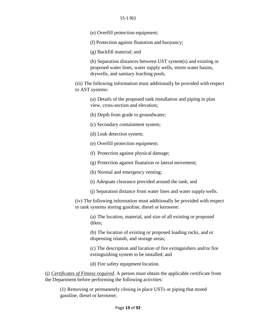(e) Overfill protection equipment;

(f) Protection against floatation and buoyancy;

(g) Backfill material; and

(h) Separation distances between UST system(s) and existing or proposed water lines, water supply wells, storm water basins, drywells, and sanitary leaching pools.

(iii) The following information must additionally be provided with respect to AST systems:

(a) Details of the proposed tank installation and piping in plan view, cross-section and elevation;

(b) Depth from grade to groundwater;

(c) Secondary containment system;

(d) Leak detection system;

(e) Overfill protection equipment;

(f) Protection against physical damage;

(g) Protection against floatation or lateral movement;

(h) Normal and emergency venting;

(i) Adequate clearance provided around the tank; and

(j) Separation distance from water lines and water supply wells.

(iv) The following information must additionally be provided with respect to tank systems storing gasoline, diesel or kerosene:

(a) The location, material, and size of all existing or proposed dikes;

(b) The location of existing or proposed loading racks, and or dispensing islands, and storage areas;

(c) The description and location of fire extinguishers and/or fire extinguishing system to be installed; and

(d) Fire safety equipment location.

(j) *Certificates of Fitness required*. A person must obtain the applicable certificate from the Department before performing the following activities:

(1) Removing or permanently closing in place USTs or piping that stored gasoline, diesel or kerosene;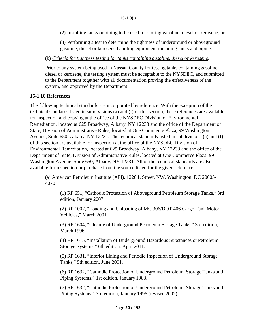(2) Installing tanks or piping to be used for storing gasoline, diesel or kerosene; or

(3) Performing a test to determine the tightness of underground or aboveground gasoline, diesel or kerosene handling equipment including tanks and piping.

#### (k) *Criteria for tightness testing for tanks containing gasoline, diesel or kerosene*.

Prior to any system being used in Nassau County for testing tanks containing gasoline, diesel or kerosene, the testing system must be acceptable to the NYSDEC, and submitted to the Department together with all documentation proving the effectiveness of the system, and approved by the Department.

#### <span id="page-20-0"></span>**15-1.10 References**

The following technical standards are incorporated by reference. With the exception of the technical standards listed in subdivisions (a) and (f) of this section, these references are available for inspection and copying at the office of the NYSDEC Division of Environmental Remediation, located at 625 Broadway, Albany, NY 12233 and the office of the Department of State, Division of Administrative Rules, located at One Commerce Plaza, 99 Washington Avenue, Suite 650, Albany, NY 12231. The technical standards listed in subdivisions (a) and (f) of this section are available for inspection at the office of the NYSDEC Division of Environmental Remediation, located at 625 Broadway, Albany, NY 12233 and the office of the Department of State, Division of Administrative Rules, located at One Commerce Plaza, 99 Washington Avenue, Suite 650, Albany, NY 12231. All of the technical standards are also available for inspection or purchase from the source listed for the given reference.

(a) American Petroleum Institute (API), 1220 L Street, NW, Washington, DC 20005- 4070

(1) RP 651, "Cathodic Protection of Aboveground Petroleum Storage Tanks," 3rd edition, January 2007.

(2) RP 1007, "Loading and Unloading of MC 306/DOT 406 Cargo Tank Motor Vehicles," March 2001.

(3) RP 1604, "Closure of Underground Petroleum Storage Tanks," 3rd edition, March 1996.

(4) RP 1615, "Installation of Underground Hazardous Substances or Petroleum Storage Systems," 6th edition, April 2011.

(5) RP 1631, "Interior Lining and Periodic Inspection of Underground Storage Tanks," 5th edition, June 2001.

(6) RP 1632, "Cathodic Protection of Underground Petroleum Storage Tanks and Piping Systems," 1st edition, January 1983.

(7) RP 1632, "Cathodic Protection of Underground Petroleum Storage Tanks and Piping Systems," 3rd edition, January 1996 (revised 2002).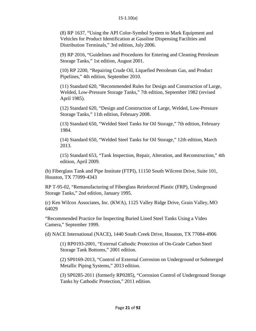(8) RP 1637, "Using the API Color-Symbol System to Mark Equipment and Vehicles for Product Identification at Gasoline Dispensing Facilities and Distribution Terminals," 3rd edition, July 2006.

(9) RP 2016, "Guidelines and Procedures for Entering and Cleaning Petroleum Storage Tanks," 1st edition, August 2001.

(10) RP 2200, "Repairing Crude Oil, Liquefied Petroleum Gas, and Product Pipelines," 4th edition, September 2010.

(11) Standard 620, "Recommended Rules for Design and Construction of Large, Welded, Low-Pressure Storage Tanks," 7th edition, September 1982 (revised April 1985).

(12) Standard 620, "Design and Construction of Large, Welded, Low-Pressure Storage Tanks," 11th edition, February 2008.

(13) Standard 650, "Welded Steel Tanks for Oil Storage," 7th edition, February 1984.

(14) Standard 650, "Welded Steel Tanks for Oil Storage," 12th edition, March 2013.

(15) Standard 653, "Tank Inspection, Repair, Alteration, and Reconstruction," 4th edition, April 2009.

(b) Fiberglass Tank and Pipe Institute (FTPI), 11150 South Wilcrest Drive, Suite 101, Houston, TX 77099-4343

RP T-95-02, "Remanufacturing of Fiberglass Reinforced Plastic (FRP), Underground Storage Tanks," 2nd edition, January 1995.

(c) Ken Wilcox Associates, Inc. (KWA), 1125 Valley Ridge Drive, Grain Valley, MO 64029

"Recommended Practice for Inspecting Buried Lined Steel Tanks Using a Video Camera," September 1999.

(d) NACE International (NACE), 1440 South Creek Drive, Houston, TX 77084-4906

(1) RP0193-2001, "External Cathodic Protection of On-Grade Carbon Steel Storage Tank Bottoms," 2001 edition.

(2) SP0169-2013, "Control of External Corrosion on Underground or Submerged Metallic Piping Systems," 2013 edition.

(3) SP0285-2011 (formerly RP0285), "Corrosion Control of Underground Storage Tanks by Cathodic Protection," 2011 edition.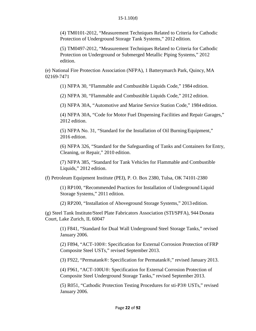(4) TM0101-2012, "Measurement Techniques Related to Criteria for Cathodic Protection of Underground Storage Tank Systems," 2012 edition.

(5) TM0497-2012, "Measurement Techniques Related to Criteria for Cathodic Protection on Underground or Submerged Metallic Piping Systems," 2012 edition.

(e) National Fire Protection Association (NFPA), 1 Batterymarch Park, Quincy, MA 02169-7471

(1) NFPA 30, "Flammable and Combustible Liquids Code," 1984 edition.

(2) NFPA 30, "Flammable and Combustible Liquids Code," 2012 edition.

(3) NFPA 30A, "Automotive and Marine Service Station Code," 1984 edition.

(4) NFPA 30A, "Code for Motor Fuel Dispensing Facilities and Repair Garages," 2012 edition.

(5) NFPA No. 31, "Standard for the Installation of Oil BurningEquipment," 2016 edition.

(6) NFPA 326, "Standard for the Safeguarding of Tanks and Containers for Entry, Cleaning, or Repair," 2010 edition.

(7) NFPA 385, "Standard for Tank Vehicles for Flammable and Combustible Liquids," 2012 edition.

(f) Petroleum Equipment Institute (PEI), P. O. Box 2380, Tulsa, OK 74101-2380

(1) RP100, "Recommended Practices for Installation of Underground Liquid Storage Systems," 2011 edition.

(2) RP200, "Installation of Aboveground Storage Systems," 2013 edition.

(g) Steel Tank Institute/Steel Plate Fabricators Association (STI/SPFA), 944 Donata Court, Lake Zurich, IL 60047

(1) F841, "Standard for Dual Wall Underground Steel Storage Tanks," revised January 2006.

(2) F894, "ACT-100®: Specification for External Corrosion Protection of FRP Composite Steel USTs," revised September 2013.

(3) F922, "Permatank®: Specification for Permatank®," revised January 2013.

(4) F961, "ACT-100U®: Specification for External Corrosion Protection of Composite Steel Underground Storage Tanks," revised September 2013.

(5) R051, "Cathodic Protection Testing Procedures for sti-P3® USTs," revised January 2006.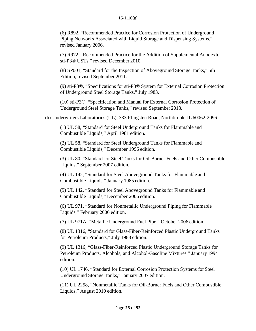(6) R892, "Recommended Practice for Corrosion Protection of Underground Piping Networks Associated with Liquid Storage and Dispensing Systems," revised January 2006.

(7) R972, "Recommended Practice for the Addition of Supplemental Anodesto sti-P3® USTs," revised December 2010.

(8) SP001, "Standard for the Inspection of Aboveground Storage Tanks," 5th Edition, revised September 2011.

(9) sti-P3®, "Specifications for sti-P3® System for External Corrosion Protection of Underground Steel Storage Tanks," July 1983.

(10) sti-P3®, "Specification and Manual for External Corrosion Protection of Underground Steel Storage Tanks," revised September 2013.

(h) Underwriters Laboratories (UL), 333 Pfingsten Road, Northbrook, IL 60062-2096

(1) UL 58, "Standard for Steel Underground Tanks for Flammable and Combustible Liquids," April 1981 edition.

(2) UL 58, "Standard for Steel Underground Tanks for Flammable and Combustible Liquids," December 1996 edition.

(3) UL 80, "Standard for Steel Tanks for Oil-Burner Fuels and Other Combustible Liquids," September 2007 edition.

(4) UL 142, "Standard for Steel Aboveground Tanks for Flammable and Combustible Liquids," January 1985 edition.

(5) UL 142, "Standard for Steel Aboveground Tanks for Flammable and Combustible Liquids," December 2006 edition.

(6) UL 971, "Standard for Nonmetallic Underground Piping for Flammable Liquids," February 2006 edition.

(7) UL 971A, "Metallic Underground Fuel Pipe," October 2006 edition.

(8) UL 1316, "Standard for Glass-Fiber-Reinforced Plastic Underground Tanks for Petroleum Products," July 1983 edition.

(9) UL 1316, "Glass-Fiber-Reinforced Plastic Underground Storage Tanks for Petroleum Products, Alcohols, and Alcohol-Gasoline Mixtures," January 1994 edition.

(10) UL 1746, "Standard for External Corrosion Protection Systems for Steel Underground Storage Tanks," January 2007 edition.

(11) UL 2258, "Nonmetallic Tanks for Oil-Burner Fuels and Other Combustible Liquids," August 2010 edition.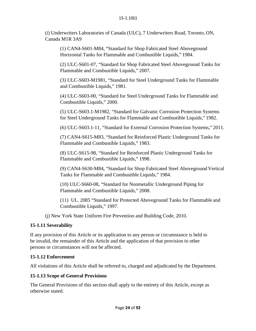(i) Underwriters Laboratories of Canada (ULC), 7 Underwriters Road, Toronto, ON, Canada M1R 3A9

(1) CAN4-S601-M84, "Standard for Shop Fabricated Steel Aboveground Horizontal Tanks for Flammable and Combustible Liquids," 1984.

(2) ULC-S601-07, "Standard for Shop Fabricated Steel Aboveground Tanks for Flammable and Combustible Liquids," 2007.

(3) ULC-S603-M1981, "Standard for Steel Underground Tanks for Flammable and Combustible Liquids," 1981.

(4) ULC-S603-00, "Standard for Steel Underground Tanks for Flammable and Combustible Liquids," 2000.

(5) ULC-S603.1-M1982, "Standard for Galvanic Corrosion Protection Systems for Steel Underground Tanks for Flammable and Combustible Liquids," 1982.

(6) ULC-S603.1-11, "Standard for External Corrosion Protection Systems," 2011.

(7) CAN4-S615-M83, "Standard for Reinforced Plastic Underground Tanks for Flammable and Combustible Liquids," 1983.

(8) ULC-S615-98, "Standard for Reinforced Plastic Underground Tanks for Flammable and Combustible Liquids," 1998.

(9) CAN4-S630-M84, "Standard for Shop Fabricated Steel Aboveground Vertical Tanks for Flammable and Combustible Liquids," 1984.

(10) ULC-S660-08, "Standard for Nonmetallic Underground Piping for Flammable and Combustible Liquids," 2008.

(11) UL. 2085 "Standard for Protected Aboveground Tanks for Flammable and Combustible Liquids," 1997.

(j) New York State Uniform Fire Prevention and Building Code, 2010.

# <span id="page-24-0"></span>**15-1.11 Severability**

If any provision of this Article or its application to any person or circumstance is held to be invalid, the remainder of this Article and the application of that provision to other persons or circumstances will not be affected.

#### <span id="page-24-1"></span>**15-1.12 Enforcement**

All violations of this Article shall be referred to, charged and adjudicated by the Department.

#### <span id="page-24-2"></span>**15-1.13 Scope of General Provisions**

The General Provisions of this section shall apply to the entirety of this Article, except as otherwise stated.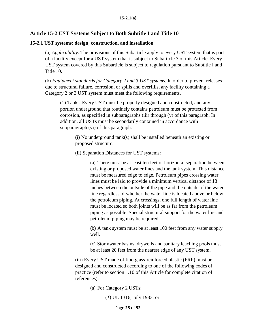#### <span id="page-25-0"></span>**Article 15-2 UST Systems Subject to Both Subtitle I and Title 10**

#### <span id="page-25-1"></span>**15-2.1 UST systems: design, construction, and installation**

(a) *Applicability*. The provisions of this Subarticle apply to every UST system that is part of a facility except for a UST system that is subject to Subarticle 3 of this Article. Every UST system covered by this Subarticle is subject to regulation pursuant to Subtitle I and Title 10.

(b) *Equipment standards for Category 2 and 3 UST systems*. In order to prevent releases due to structural failure, corrosion, or spills and overfills, any facility containing a Category 2 or 3 UST system must meet the following requirements.

(1) Tanks. Every UST must be properly designed and constructed, and any portion underground that routinely contains petroleum must be protected from corrosion, as specified in subparagraphs (iii) through (v) of this paragraph. In addition, all USTs must be secondarily contained in accordance with subparagraph (vi) of this paragraph:

(i) No underground tank(s) shall be installed beneath an existing or proposed structure.

(ii) Separation Distances for UST systems:

(a) There must be at least ten feet of horizontal separation between existing or proposed water lines and the tank system. This distance must be measured edge to edge. Petroleum pipes crossing water lines must be laid to provide a minimum vertical distance of 18 inches between the outside of the pipe and the outside of the water line regardless of whether the water line is located above or below the petroleum piping. At crossings, one full length of water line must be located so both joints will be as far from the petroleum piping as possible. Special structural support for the water line and petroleum piping may be required.

(b) A tank system must be at least 100 feet from any water supply well.

(c) Stormwater basins, drywells and sanitary leaching pools must be at least 20 feet from the nearest edge of any UST system.

(iii) Every UST made of fiberglass-reinforced plastic (FRP) must be designed and constructed according to one of the following codes of practice (refer to section 1.10 of this Article for complete citation of references):

(a) For Category 2 USTs:

(*1*) UL 1316, July 1983; or

Page **25** of **92**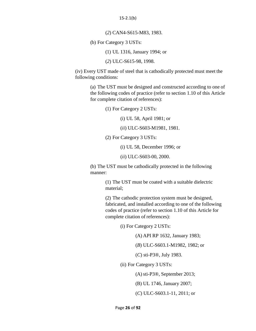15-2.1(b)

(*2*) CAN4-S615-M83, 1983.

(b) For Category 3 USTs:

(1) UL 1316, January 1994; or

(*2*) ULC-S615-98, 1998.

(iv) Every UST made of steel that is cathodically protected must meet the following conditions:

> (a) The UST must be designed and constructed according to one of the following codes of practice (refer to section 1.10 of this Article for complete citation of references):

> > (1) For Category 2 USTs:

(i) UL 58, April 1981; or

(*ii*) ULC-S603-M1981, 1981.

(2) For Category 3 USTs:

(i) UL 58, December 1996; or

(*ii*) ULC-S603-00, 2000.

(b) The UST must be cathodically protected in the following manner:

> (1) The UST must be coated with a suitable dielectric material;

(2) The cathodic protection system must be designed, fabricated, and installed according to one of the following codes of practice (refer to section 1.10 of this Article for complete citation of references):

(i) For Category 2 USTs:

(A) API RP 1632, January 1983;

(*B*) ULC-S603.1-M1982, 1982; or

(*C*) sti-P3®, July 1983.

(ii) For Category 3 USTs:

(A)sti-P3®, September 2013;

(B) UL 1746, January 2007;

(*C*) ULC-S603.1-11, 2011; or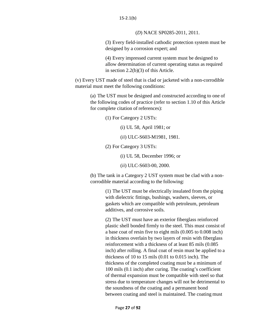(*D*) NACE SP0285-2011, 2011.

(3) Every field-installed cathodic protection system must be designed by a corrosion expert; and

(4) Every impressed current system must be designed to allow determination of current operating status as required in section 2.2(b)(3) of this Article.

(v) Every UST made of steel that is clad or jacketed with a non-corrodible material must meet the following conditions:

(a) The UST must be designed and constructed according to one of the following codes of practice (refer to section 1.10 of this Article for complete citation of references):

(1) For Category 2 USTs:

(i) UL 58, April 1981; or

(*ii*) ULC-S603-M1981, 1981.

(2) For Category 3 USTs:

(i) UL 58, December 1996; or

(*ii*) ULC-S603-00, 2000.

(b) The tank in a Category 2 UST system must be clad with a noncorrodible material according to the following:

> (1) The UST must be electrically insulated from the piping with dielectric fittings, bushings, washers, sleeves, or gaskets which are compatible with petroleum, petroleum additives, and corrosive soils.

(2) The UST must have an exterior fiberglass reinforced plastic shell bonded firmly to the steel. This must consist of a base coat of resin five to eight mils (0.005 to 0.008 inch) in thickness overlain by two layers of resin with fiberglass reinforcement with a thickness of at least 85 mils (0.085 inch) after rolling. A final coat of resin must be applied to a thickness of 10 to 15 mils (0.01 to 0.015 inch). The thickness of the completed coating must be a minimum of 100 mils (0.1 inch) after curing. The coating's coefficient of thermal expansion must be compatible with steel so that stress due to temperature changes will not be detrimental to the soundness of the coating and a permanent bond between coating and steel is maintained. The coating must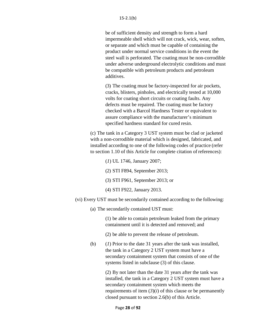be of sufficient density and strength to form a hard impermeable shell which will not crack, wick, wear, soften, or separate and which must be capable of containing the product under normal service conditions in the event the steel wall is perforated. The coating must be non-corrodible under adverse underground electrolytic conditions and must be compatible with petroleum products and petroleum additives.

(3) The coating must be factory-inspected for air pockets, cracks, blisters, pinholes, and electrically tested at 10,000 volts for coating short circuits or coating faults. Any defects must be repaired. The coating must be factory checked with a Barcol Hardness Tester or equivalent to assure compliance with the manufacturer's minimum specified hardness standard for cured resin.

(c) The tank in a Category 3 UST system must be clad or jacketed with a non-corrodible material which is designed, fabricated, and installed according to one of the following codes of practice (refer to section 1.10 of this Article for complete citation of references):

- (*1*) UL 1746, January 2007;
- (2) STI F894, September 2013;
- (3) STI F961, September 2013; or
- (4) STI F922, January 2013.
- (vi) Every UST must be secondarily contained according to the following:
	- (a) The secondarily contained UST must:

(1) be able to contain petroleum leaked from the primary containment until it is detected and removed; and

- (2) be able to prevent the release of petroleum.
- (b) (*1*) Prior to the date 31 years after the tank was installed, the tank in a Category 2 UST system must have a secondary containment system that consists of one of the systems listed in subclause (3) of this clause.

(2) By not later than the date 31 years after the tank was installed, the tank in a Category 2 UST system must have a secondary containment system which meets the requirements of item  $(3)(i)$  of this clause or be permanently closed pursuant to section 2.6(b) of this Article.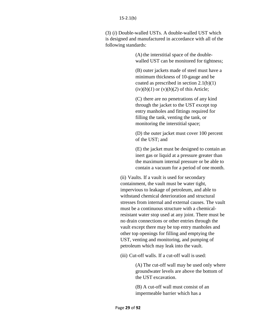(3) (*i*) Double-walled USTs. A double-walled UST which is designed and manufactured in accordance with all of the following standards:

> (A) the interstitial space of the doublewalled UST can be monitored for tightness;

(B) outer jackets made of steel must have a minimum thickness of 10-gauge and be coated as prescribed in section 2.1(b)(1)  $(iv)(b)(1)$  or  $(v)(b)(2)$  of this Article;

(C) there are no penetrations of any kind through the jacket to the UST except top entry manholes and fittings required for filling the tank, venting the tank, or monitoring the interstitial space;

(D) the outer jacket must cover 100 percent of the UST; and

(E) the jacket must be designed to contain an inert gas or liquid at a pressure greater than the maximum internal pressure or be able to contain a vacuum for a period of one month.

(ii) Vaults. If a vault is used for secondary containment, the vault must be water tight, impervious to leakage of petroleum, and able to withstand chemical deterioration and structural stresses from internal and external causes. The vault must be a continuous structure with a chemicalresistant water stop used at any joint. There must be no drain connections or other entries through the vault except there may be top entry manholes and other top openings for filling and emptying the UST, venting and monitoring, and pumping of petroleum which may leak into the vault.

(iii) Cut-off walls. If a cut-off wall is used:

(A) The cut-off wall may be used only where groundwater levels are above the bottom of the UST excavation.

(B) A cut-off wall must consist of an impermeable barrier which has a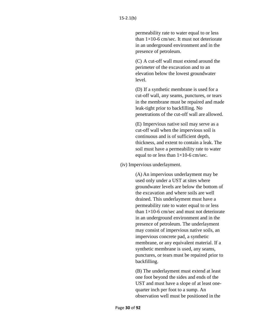permeability rate to water equal to or less than  $1\times10$ -6 cm/sec. It must not deteriorate in an underground environment and in the presence of petroleum.

(C) A cut-off wall must extend around the perimeter of the excavation and to an elevation below the lowest groundwater level.

(D) If a synthetic membrane is used for a cut-off wall, any seams, punctures, or tears in the membrane must be repaired and made leak-tight prior to backfilling. No penetrations of the cut-off wall are allowed.

(E) Impervious native soil may serve as a cut-off wall when the impervious soil is continuous and is of sufficient depth, thickness, and extent to contain a leak. The soil must have a permeability rate to water equal to or less than  $1\times10$ -6 cm/sec.

#### (iv) Impervious underlayment.

(A) An impervious underlayment may be used only under a UST at sites where groundwater levels are below the bottom of the excavation and where soils are well drained. This underlayment must have a permeability rate to water equal to or less than  $1\times10$ -6 cm/sec and must not deteriorate in an underground environment and in the presence of petroleum. The underlayment may consist of impervious native soils, an impervious concrete pad, a synthetic membrane, or any equivalent material. If a synthetic membrane is used, any seams, punctures, or tears must be repaired prior to backfilling.

(B) The underlayment must extend at least one foot beyond the sides and ends of the UST and must have a slope of at least onequarter inch per foot to a sump. An observation well must be positioned in the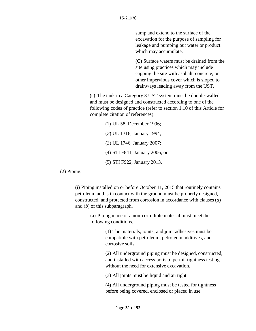sump and extend to the surface of the excavation for the purpose of sampling for leakage and pumping out water or product which may accumulate.

**(C)** Surface waters must be drained from the site using practices which may include capping the site with asphalt, concrete, or other impervious cover which is sloped to drainways leading away from the UST**.**

(c) The tank in a Category 3 UST system must be double-walled and must be designed and constructed according to one of the following codes of practice (refer to section 1.10 of this Article for complete citation of references):

(1) UL 58, December 1996; (*2*) UL 1316, January 1994; (*3*) UL 1746, January 2007; (4) STI F841, January 2006; or (5) STI F922, January 2013.

(2) Piping.

(i) Piping installed on or before October 11, 2015 that routinely contains petroleum and is in contact with the ground must be properly designed, constructed, and protected from corrosion in accordance with clauses (*a*) and (*b*) of this subparagraph.

> (a) Piping made of a non-corrodible material must meet the following conditions.

> > (1) The materials, joints, and joint adhesives must be compatible with petroleum, petroleum additives, and corrosive soils.

(2) All underground piping must be designed, constructed, and installed with access ports to permit tightness testing without the need for extensive excavation.

(3) All joints must be liquid and air tight.

(4) All underground piping must be tested for tightness before being covered, enclosed or placed in use.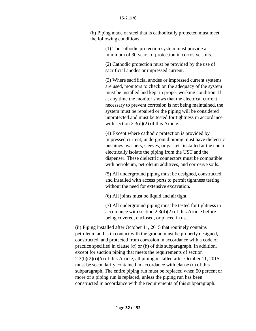#### 15-2.1(b)

(b) Piping made of steel that is cathodically protected must meet the following conditions.

> (1) The cathodic protection system must provide a minimum of 30 years of protection in corrosive soils.

(2) Cathodic protection must be provided by the use of sacrificial anodes or impressed current.

(3) Where sacrificial anodes or impressed current systems are used, monitors to check on the adequacy of the system must be installed and kept in proper working condition. If at any time the monitor shows that the electrical current necessary to prevent corrosion is not being maintained, the system must be repaired or the piping will be considered unprotected and must be tested for tightness in accordance with section 2.3(d)(2) of this Article.

(4) Except where cathodic protection is provided by impressed current, underground piping must have dielectric bushings, washers, sleeves, or gaskets installed at the end to electrically isolate the piping from the UST and the dispenser. These dielectric connectors must be compatible with petroleum, petroleum additives, and corrosive soils.

(5) All underground piping must be designed, constructed, and installed with access ports to permit tightness testing without the need for extensive excavation.

(6) All joints must be liquid and air tight.

(7) All underground piping must be tested for tightness in accordance with section 2.3(d)(2) of this Article before being covered, enclosed, or placed in use.

(ii) Piping installed after October 11, 2015 that routinely contains petroleum and is in contact with the ground must be properly designed, constructed, and protected from corrosion in accordance with a code of practice specified in clause (*a*) or (*b*) of this subparagraph. In addition, except for suction piping that meets the requirements of section 2.3(b)(2)(i)(*b*) of this Article, all piping installed after October 11, 2015 must be secondarily contained in accordance with clause (*c*) of this subparagraph. The entire piping run must be replaced when 50 percent or more of a piping run is replaced, unless the piping run has been constructed in accordance with the requirements of this subparagraph.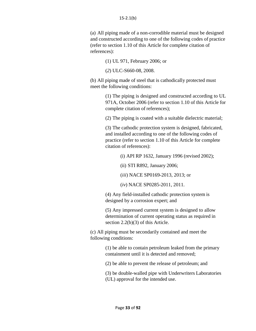(a) All piping made of a non-corrodible material must be designed and constructed according to one of the following codes of practice (refer to section 1.10 of this Article for complete citation of references):

(1) UL 971, February 2006; or

(*2*) ULC-S660-08, 2008.

(b) All piping made of steel that is cathodically protected must meet the following conditions:

> (1) The piping is designed and constructed according to UL 971A, October 2006 (refer to section 1.10 of this Article for complete citation of references);

(2) The piping is coated with a suitable dielectric material;

(3) The cathodic protection system is designed, fabricated, and installed according to one of the following codes of practice (refer to section 1.10 of this Article for complete citation of references):

(i) API RP 1632, January 1996 (revised 2002);

(ii) STI R892, January 2006;

(*iii*) NACE SP0169-2013, 2013; or

(*iv*) NACE SP0285-2011, 2011.

(4) Any field-installed cathodic protection system is designed by a corrosion expert; and

(5) Any impressed current system is designed to allow determination of current operating status as required in section 2.2(b)(3) of this Article.

(c) All piping must be secondarily contained and meet the following conditions:

> (1) be able to contain petroleum leaked from the primary containment until it is detected and removed;

(2) be able to prevent the release of petroleum; and

(3) be double-walled pipe with Underwriters Laboratories (UL) approval for the intended use.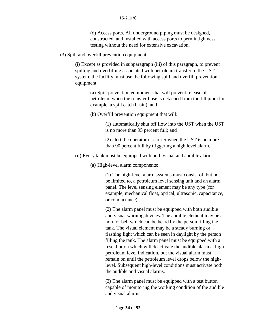(d) Access ports. All underground piping must be designed, constructed, and installed with access ports to permit tightness testing without the need for extensive excavation.

(3) Spill and overfill prevention equipment.

(i) Except as provided in subparagraph (iii) of this paragraph, to prevent spilling and overfilling associated with petroleum transfer to the UST system, the facility must use the following spill and overfill prevention equipment:

> (a) Spill prevention equipment that will prevent release of petroleum when the transfer hose is detached from the fill pipe (for example, a spill catch basin); and

(b) Overfill prevention equipment that will:

(1) automatically shut off flow into the UST when the UST is no more than 95 percent full; and

(2) alert the operator or carrier when the UST is no more than 90 percent full by triggering a high level alarm.

(ii) Every tank must be equipped with both visual and audible alarms.

(a) High-level alarm components:

(1) The high-level alarm systems must consist of, but not be limited to, a petroleum level sensing unit and an alarm panel. The level sensing element may be any type (for example, mechanical float, optical, ultrasonic, capacitance, or conductance).

(2) The alarm panel must be equipped with both audible and visual warning devices. The audible element may be a horn or bell which can be heard by the person filling the tank. The visual element may be a steady burning or flashing light which can be seen in daylight by the person filling the tank. The alarm panel must be equipped with a reset button which will deactivate the audible alarm at high petroleum level indication, but the visual alarm must remain on until the petroleum level drops below the highlevel. Subsequent high-level conditions must activate both the audible and visual alarms.

(3) The alarm panel must be equipped with a test button capable of monitoring the working condition of the audible and visual alarms.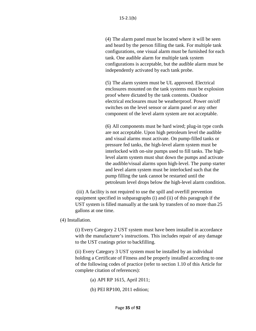(4) The alarm panel must be located where it will be seen and heard by the person filling the tank. For multiple tank configurations, one visual alarm must be furnished for each tank. One audible alarm for multiple tank system configurations is acceptable, but the audible alarm must be independently activated by each tank probe.

(5) The alarm system must be UL approved. Electrical enclosures mounted on the tank systems must be explosion proof where dictated by the tank contents. Outdoor electrical enclosures must be weatherproof. Power on/off switches on the level sensor or alarm panel or any other component of the level alarm system are not acceptable.

(6) All components must be hard wired; plug-in type cords are not acceptable. Upon high petroleum level the audible and visual alarms must activate. On pump-filled tanks or pressure fed tanks, the high-level alarm system must be interlocked with on-site pumps used to fill tanks. The highlevel alarm system must shut down the pumps and activate the audible/visual alarms upon high-level. The pump starter and level alarm system must be interlocked such that the pump filling the tank cannot be restarted until the petroleum level drops below the high-level alarm condition.

(iii) A facility is not required to use the spill and overfill prevention equipment specified in subparagraphs (i) and (ii) of this paragraph if the UST system is filled manually at the tank by transfers of no more than 25 gallons at one time.

#### (4) Installation.

(i) Every Category 2 UST system must have been installed in accordance with the manufacturer's instructions. This includes repair of any damage to the UST coatings prior to backfilling.

(ii) Every Category 3 UST system must be installed by an individual holding a Certificate of Fitness and be properly installed according to one of the following codes of practice (refer to section 1.10 of this Article for complete citation of references):

- (a) API RP 1615, April 2011;
- (b) PEI RP100, 2011 edition;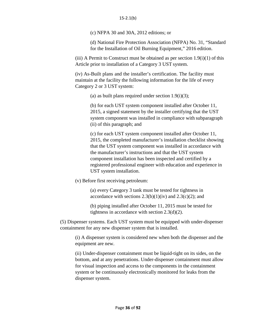#### 15-2.1(b)

(c) NFPA 30 and 30A, 2012 editions; or

(d) National Fire Protection Association (NFPA) No. 31, "Standard for the Installation of Oil Burning Equipment," 2016 edition.

(iii) A Permit to Construct must be obtained as per section  $1.9(i)(1)$  of this Article prior to installation of a Category 3 UST system.

(iv) As-Built plans and the installer's certification. The facility must maintain at the facility the following information for the life of every Category 2 or 3 UST system:

(a) as built plans required under section 1.9(i)(3);

(b) for each UST system component installed after October 11, 2015, a signed statement by the installer certifying that the UST system component was installed in compliance with subparagraph (ii) of this paragraph; and

(c) for each UST system component installed after October 11, 2015, the completed manufacturer's installation checklist showing that the UST system component was installed in accordance with the manufacturer's instructions and that the UST system component installation has been inspected and certified by a registered professional engineer with education and experience in UST system installation.

(v) Before first receiving petroleum:

(a) every Category 3 tank must be tested for tightness in accordance with sections  $2.3(b)(1)(iv)$  and  $2.3(c)(2)$ ; and

(b) piping installed after October 11, 2015 must be tested for tightness in accordance with section 2.3(d)(2).

(5) Dispenser systems. Each UST system must be equipped with under-dispenser containment for any new dispenser system that is installed.

(i) A dispenser system is considered new when both the dispenser and the equipment are new.

(ii) Under-dispenser containment must be liquid-tight on its sides, on the bottom, and at any penetrations. Under-dispenser containment must allow for visual inspection and access to the components in the containment system or be continuously electronically monitored for leaks from the dispenser system.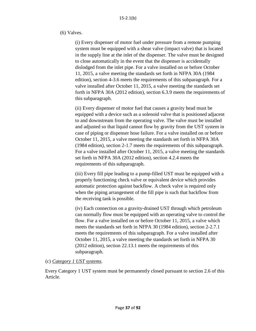## (6) Valves.

(i) Every dispenser of motor fuel under pressure from a remote pumping system must be equipped with a shear valve (impact valve) that is located in the supply line at the inlet of the dispenser. The valve must be designed to close automatically in the event that the dispenser is accidentally dislodged from the inlet pipe. For a valve installed on or before October 11, 2015, a valve meeting the standards set forth in NFPA 30A (1984 edition), section 4-3.6 meets the requirements of this subparagraph. For a valve installed after October 11, 2015, a valve meeting the standards set forth in NFPA 30A (2012 edition), section 6.3.9 meets the requirements of this subparagraph.

(ii) Every dispenser of motor fuel that causes a gravity head must be equipped with a device such as a solenoid valve that is positioned adjacent to and downstream from the operating valve. The valve must be installed and adjusted so that liquid cannot flow by gravity from the UST system in case of piping or dispenser hose failure. For a valve installed on or before October 11, 2015, a valve meeting the standards set forth in NFPA 30A (1984 edition), section 2-1.7 meets the requirements of this subparagraph. For a valve installed after October 11, 2015, a valve meeting the standards set forth in NFPA 30A (2012 edition), section 4.2.4 meets the requirements of this subparagraph.

(iii) Every fill pipe leading to a pump-filled UST must be equipped with a properly functioning check valve or equivalent device which provides automatic protection against backflow. A check valve is required only when the piping arrangement of the fill pipe is such that backflow from the receiving tank is possible.

(iv) Each connection on a gravity-drained UST through which petroleum can normally flow must be equipped with an operating valve to control the flow. For a valve installed on or before October 11, 2015, a valve which meets the standards set forth in NFPA 30 (1984 edition), section 2-2.7.1 meets the requirements of this subparagraph. For a valve installed after October 11, 2015, a valve meeting the standards set forth in NFPA 30 (2012 edition), section 22.13.1 meets the requirements of this subparagraph.

# (c) *Category 1 UST systems*.

Every Category 1 UST system must be permanently closed pursuant to section 2.6 of this Article.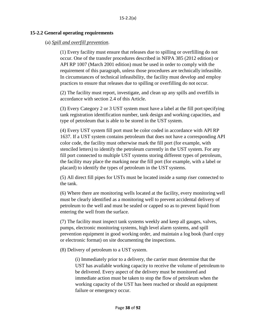### **15-2.2 General operating requirements**

## (a) *Spill and overfill prevention*.

(1) Every facility must ensure that releases due to spilling or overfilling do not occur. One of the transfer procedures described in NFPA 385 (2012 edition) or API RP 1007 (March 2001 edition) must be used in order to comply with the requirement of this paragraph, unless those procedures are technically infeasible. In circumstances of technical infeasibility, the facility must develop and employ practices to ensure that releases due to spilling or overfilling do not occur.

(2) The facility must report, investigate, and clean up any spills and overfills in accordance with section 2.4 of this Article.

(3) Every Category 2 or 3 UST system must have a label at the fill portspecifying tank registration identification number, tank design and working capacities, and type of petroleum that is able to be stored in the UST system.

(4) Every UST system fill port must be color coded in accordance with API RP 1637. If a UST system contains petroleum that does not have a corresponding API color code, the facility must otherwise mark the fill port (for example, with stenciled letters) to identify the petroleum currently in the UST system. For any fill port connected to multiple UST systems storing different types of petroleum, the facility may place the marking near the fill port (for example, with a label or placard) to identify the types of petroleum in the UST systems.

(5) All direct fill pipes for USTs must be located inside a sump riser connected to the tank.

(6) Where there are monitoring wells located at the facility, every monitoring well must be clearly identified as a monitoring well to prevent accidental delivery of petroleum to the well and must be sealed or capped so as to prevent liquid from entering the well from the surface.

(7) The facility must inspect tank systems weekly and keep all gauges, valves, pumps, electronic monitoring systems, high level alarm systems, and spill prevention equipment in good working order, and maintain a log book (hard copy or electronic format) on site documenting the inspections.

(8) Delivery of petroleum to a UST system.

(i) Immediately prior to a delivery, the carrier must determine that the UST has available working capacity to receive the volume of petroleum to be delivered. Every aspect of the delivery must be monitored and immediate action must be taken to stop the flow of petroleum when the working capacity of the UST has been reached or should an equipment failure or emergency occur.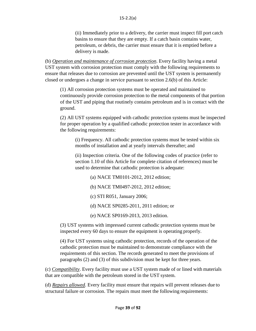(ii) Immediately prior to a delivery, the carrier must inspect fill port catch basins to ensure that they are empty. If a catch basin contains water, petroleum, or debris, the carrier must ensure that it is emptied before a delivery is made.

(b) *Operation and maintenance of corrosion protection*. Every facility having a metal UST system with corrosion protection must comply with the following requirements to ensure that releases due to corrosion are prevented until the UST system is permanently closed or undergoes a change in service pursuant to section 2.6(b) of this Article:

(1) All corrosion protection systems must be operated and maintained to continuously provide corrosion protection to the metal components of that portion of the UST and piping that routinely contains petroleum and is in contact with the ground.

(2) All UST systems equipped with cathodic protection systems must be inspected for proper operation by a qualified cathodic protection tester in accordance with the following requirements:

(i) Frequency. All cathodic protection systems must be tested within six months of installation and at yearly intervals thereafter; and

(ii) Inspection criteria. One of the following codes of practice (refer to section 1.10 of this Article for complete citation of references) must be used to determine that cathodic protection is adequate:

- (a) NACE TM0101-2012, 2012 edition;
- (b) NACE TM0497-2012, 2012 edition;
- (c) STI R051, January 2006;
- (d) NACE SP0285-2011, 2011 edition; or
- (e) NACE SP0169-2013, 2013 edition.

(3) UST systems with impressed current cathodic protection systems must be inspected every 60 days to ensure the equipment is operating properly.

(4) For UST systems using cathodic protection, records of the operation of the cathodic protection must be maintained to demonstrate compliance with the requirements of this section. The records generated to meet the provisions of paragraphs (2) and (3) of this subdivision must be kept for three years.

(c) *Compatibility*. Every facility must use a UST system made of or lined with materials that are compatible with the petroleum stored in the UST system.

(d) *Repairs allowed*. Every facility must ensure that repairs will prevent releases due to structural failure or corrosion. The repairs must meet the following requirements: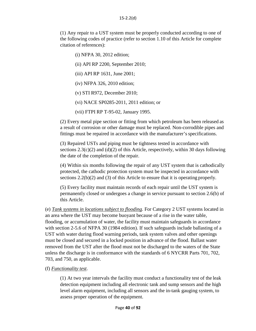(1) Any repair to a UST system must be properly conducted according to one of the following codes of practice (refer to section 1.10 of this Article for complete citation of references):

- (i) NFPA 30, 2012 edition;
- (ii) API RP 2200, September 2010;
- (iii) API RP 1631, June 2001;
- (iv) NFPA 326, 2010 edition;
- (v) STI R972, December 2010;
- (vi) NACE SP0285-2011, 2011 edition; or
- (vii) FTPI RP T-95-02, January 1995.

(2) Every metal pipe section or fitting from which petroleum has been released as a result of corrosion or other damage must be replaced. Non-corrodible pipes and fittings must be repaired in accordance with the manufacturer'sspecifications.

(3) Repaired USTs and piping must be tightness tested in accordance with sections  $2.3(c)(2)$  and  $(d)(2)$  of this Article, respectively, within 30 days following the date of the completion of the repair.

(4) Within six months following the repair of any UST system that is cathodically protected, the cathodic protection system must be inspected in accordance with sections 2.2(b)(2) and (3) of this Article to ensure that it is operating properly.

(5) Every facility must maintain records of each repair until the UST system is permanently closed or undergoes a change in service pursuant to section 2.6(b) of this Article.

(e) *Tank systems in locations subject to flooding*. For Category 2 UST systems located in an area where the UST may become buoyant because of a rise in the water table, flooding, or accumulation of water, the facility must maintain safeguards in accordance with section 2-5.6 of NFPA 30 (1984 edition). If such safeguards include ballasting of a UST with water during flood warning periods, tank system valves and other openings must be closed and secured in a locked position in advance of the flood. Ballast water removed from the UST after the flood must not be discharged to the waters of the State unless the discharge is in conformance with the standards of 6 NYCRR Parts 701, 702, 703, and 750, as applicable.

### (f) *Functionality test*.

(1) At two year intervals the facility must conduct a functionality test of the leak detection equipment including all electronic tank and sump sensors and the high level alarm equipment, including all sensors and the in-tank gauging system, to assess proper operation of the equipment.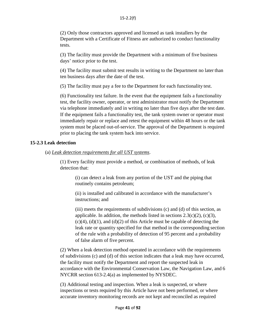(2) Only those contractors approved and licensed as tank installers by the Department with a Certificate of Fitness are authorized to conduct functionality tests.

(3) The facility must provide the Department with a minimum of five business days' notice prior to the test.

(4) The facility must submit test results in writing to the Department no later than ten business days after the date of the test.

(5) The facility must pay a fee to the Department for each functionality test.

(6) Functionality test failure. In the event that the equipment fails a functionality test, the facility owner, operator, or test administrator must notify the Department via telephone immediately and in writing no later than five days after the test date. If the equipment fails a functionality test, the tank system owner or operator must immediately repair or replace and retest the equipment within 48 hours or the tank system must be placed out-of-service. The approval of the Department is required prior to placing the tank system back into service.

#### **15-2.3 Leak detection**

(a) *Leak detection requirements for all UST systems*.

(1) Every facility must provide a method, or combination of methods, of leak detection that:

(i) can detect a leak from any portion of the UST and the piping that routinely contains petroleum;

(ii) is installed and calibrated in accordance with the manufacturer's instructions; and

(iii) meets the requirements of subdivisions (c) and (d) of this section, as applicable. In addition, the methods listed in sections  $2.3(c)(2)$ ,  $(c)(3)$ ,  $(c)(4)$ ,  $(d)(1)$ , and  $(d)(2)$  of this Article must be capable of detecting the leak rate or quantity specified for that method in the corresponding section of the rule with a probability of detection of 95 percent and a probability of false alarm of five percent.

(2) When a leak detection method operated in accordance with the requirements of subdivisions (c) and (d) of this section indicates that a leak may have occurred, the facility must notify the Department and report the suspected leak in accordance with the Environmental Conservation Law, the Navigation Law, and 6 NYCRR section 613-2.4(a) as implemented by NYSDEC.

(3) Additional testing and inspection. When a leak is suspected, or where inspections or tests required by this Article have not been performed, or where accurate inventory monitoring records are not kept and reconciled as required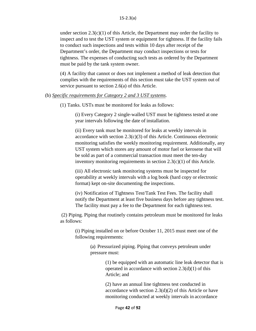under section  $2.3(c)(1)$  of this Article, the Department may order the facility to inspect and to test the UST system or equipment for tightness. If the facility fails to conduct such inspections and tests within 10 days after receipt of the Department's order, the Department may conduct inspections or tests for tightness. The expenses of conducting such tests as ordered by the Department must be paid by the tank system owner.

(4) A facility that cannot or does not implement a method of leak detection that complies with the requirements of this section must take the UST system out of service pursuant to section 2.6(a) of this Article.

#### (b) *Specific requirements for Category 2 and 3 UST systems*.

(1) Tanks. USTs must be monitored for leaks as follows:

(i) Every Category 2 single-walled UST must be tightness tested at one year intervals following the date of installation.

(ii) Every tank must be monitored for leaks at weekly intervals in accordance with section 2.3(c)(3) of this Article. Continuous electronic monitoring satisfies the weekly monitoring requirement. Additionally, any UST system which stores any amount of motor fuel or kerosene that will be sold as part of a commercial transaction must meet the ten-day inventory monitoring requirements in section 2.3(c)(1) of this Article.

(iii) All electronic tank monitoring systems must be inspected for operability at weekly intervals with a log book (hard copy or electronic format) kept on-site documenting the inspections.

(iv) Notification of Tightness Test/Tank Test Fees. The facility shall notify the Department at least five business days before any tightness test. The facility must pay a fee to the Department for each tightness test.

(2) Piping. Piping that routinely contains petroleum must be monitored for leaks as follows:

(i) Piping installed on or before October 11, 2015 must meet one of the following requirements:

> (a) Pressurized piping. Piping that conveys petroleum under pressure must:

> > (1) be equipped with an automatic line leak detector that is operated in accordance with section  $2.3(d)(1)$  of this Article; and

(2) have an annual line tightness test conducted in accordance with section  $2.3(d)(2)$  of this Article or have monitoring conducted at weekly intervals in accordance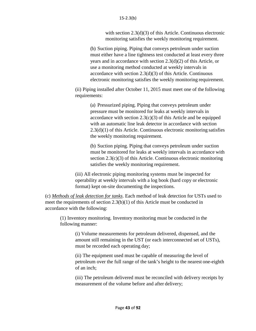with section 2.3(d)(3) of this Article. Continuous electronic monitoring satisfies the weekly monitoring requirement.

(b) Suction piping. Piping that conveys petroleum under suction must either have a line tightness test conducted at least every three years and in accordance with section 2.3(d)(2) of this Article, or use a monitoring method conducted at weekly intervals in accordance with section 2.3(d)(3) of this Article. Continuous electronic monitoring satisfies the weekly monitoring requirement.

(ii) Piping installed after October 11, 2015 must meet one of the following requirements:

> (a) Pressurized piping. Piping that conveys petroleum under pressure must be monitored for leaks at weekly intervals in accordance with section  $2.3(c)(3)$  of this Article and be equipped with an automatic line leak detector in accordance with section 2.3(d)(1) of this Article. Continuous electronic monitoring satisfies the weekly monitoring requirement.

> (b) Suction piping. Piping that conveys petroleum under suction must be monitored for leaks at weekly intervals in accordance with section 2.3(c)(3) of this Article. Continuous electronic monitoring satisfies the weekly monitoring requirement.

(iii) All electronic piping monitoring systems must be inspected for operability at weekly intervals with a log book (hard copy or electronic format) kept on-site documenting the inspections.

(c) *Methods of leak detection for tanks*. Each method of leak detection for USTs used to meet the requirements of section 2.3(b)(1) of this Article must be conducted in accordance with the following:

(1) Inventory monitoring. Inventory monitoring must be conducted in the following manner:

> (i) Volume measurements for petroleum delivered, dispensed, and the amount still remaining in the UST (or each interconnected set of USTs), must be recorded each operating day;

(ii) The equipment used must be capable of measuring the level of petroleum over the full range of the tank's height to the nearest one-eighth of an inch;

(iii) The petroleum delivered must be reconciled with delivery receipts by measurement of the volume before and after delivery;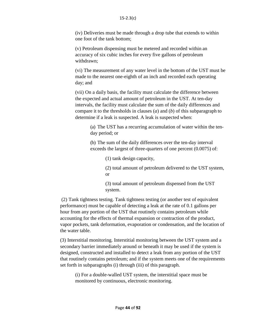(iv) Deliveries must be made through a drop tube that extends to within one foot of the tank bottom;

(v) Petroleum dispensing must be metered and recorded within an accuracy of six cubic inches for every five gallons of petroleum withdrawn;

(vi) The measurement of any water level in the bottom of the UST must be made to the nearest one-eighth of an inch and recorded each operating day; and

(vii) On a daily basis, the facility must calculate the difference between the expected and actual amount of petroleum in the UST. At ten-day intervals, the facility must calculate the sum of the daily differences and compare it to the thresholds in clauses (*a*) and (*b*) of this subparagraph to determine if a leak is suspected. A leak is suspected when:

> (a) The UST has a recurring accumulation of water within the tenday period; or

(b) The sum of the daily differences over the ten-day interval exceeds the largest of three-quarters of one percent (0.0075) of:

(1) tank design capacity,

(2) total amount of petroleum delivered to the UST system, or

(3) total amount of petroleum dispensed from the UST system.

(2) Tank tightness testing. Tank tightness testing (or another test of equivalent performance) must be capable of detecting a leak at the rate of 0.1 gallons per hour from any portion of the UST that routinely contains petroleum while accounting for the effects of thermal expansion or contraction of the product, vapor pockets, tank deformation, evaporation or condensation, and the location of the water table.

(3) Interstitial monitoring. Interstitial monitoring between the UST system and a secondary barrier immediately around or beneath it may be used if the system is designed, constructed and installed to detect a leak from any portion of the UST that routinely contains petroleum; and if the system meets one of the requirements set forth in subparagraphs (i) through (iii) of this paragraph.

(i) For a double-walled UST system, the interstitial space must be monitored by continuous, electronic monitoring.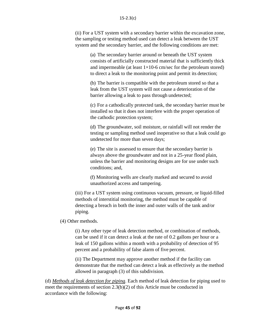#### 15-2.3(c)

(ii) For a UST system with a secondary barrier within the excavation zone, the sampling or testing method used can detect a leak between the UST system and the secondary barrier, and the following conditions are met:

(a) The secondary barrier around or beneath the UST system consists of artificially constructed material that is sufficiently thick and impermeable (at least  $1\times10-6$  cm/sec for the petroleum stored) to direct a leak to the monitoring point and permit its detection;

(b) The barrier is compatible with the petroleum stored so that a leak from the UST system will not cause a deterioration of the barrier allowing a leak to pass through undetected;

(c) For a cathodically protected tank, the secondary barrier must be installed so that it does not interfere with the proper operation of the cathodic protection system;

(d) The groundwater, soil moisture, or rainfall will not render the testing or sampling method used inoperative so that a leak could go undetected for more than seven days;

(e) The site is assessed to ensure that the secondary barrier is always above the groundwater and not in a 25-year flood plain, unless the barrier and monitoring designs are for use under such conditions; and,

(f) Monitoring wells are clearly marked and secured to avoid unauthorized access and tampering.

(iii) For a UST system using continuous vacuum, pressure, or liquid-filled methods of interstitial monitoring, the method must be capable of detecting a breach in both the inner and outer walls of the tank and/or piping.

(4) Other methods.

(i) Any other type of leak detection method, or combination of methods, can be used if it can detect a leak at the rate of 0.2 gallons per hour or a leak of 150 gallons within a month with a probability of detection of 95 percent and a probability of false alarm of five percent.

(ii) The Department may approve another method if the facility can demonstrate that the method can detect a leak as effectively as the method allowed in paragraph (3) of this subdivision.

(d) *Methods of leak detection for piping*. Each method of leak detection for piping used to meet the requirements of section 2.3(b)(2) of this Article must be conducted in accordance with the following: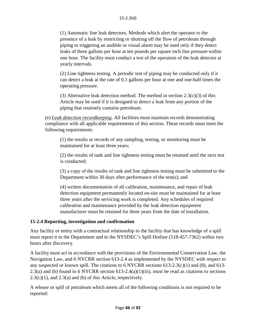(1) Automatic line leak detectors. Methods which alert the operator to the presence of a leak by restricting or shutting off the flow of petroleum through piping or triggering an audible or visual alarm may be used only if they detect leaks of three gallons per hour at ten pounds per square inch line pressure within one hour. The facility must conduct a test of the operation of the leak detector at yearly intervals.

(2) Line tightness testing. A periodic test of piping may be conducted only if it can detect a leak at the rate of 0.1 gallons per hour at one and one-half times the operating pressure.

(3) Alternative leak detection method. The method in section  $2.3(c)(3)$  of this Article may be used if it is designed to detect a leak from any portion of the piping that routinely contains petroleum.

(e) *Leak detection recordkeeping*. All facilities must maintain records demonstrating compliance with all applicable requirements of this section. These records must meet the following requirements:

(1) the results or records of any sampling, testing, or monitoring must be maintained for at least three years;

(2) the results of tank and line tightness testing must be retained until the next test is conducted;

(3) a copy of the results of tank and line tightness testing must be submitted to the Department within 30 days after performance of the test(s); and

(4) written documentation of all calibration, maintenance, and repair of leak detection equipment permanently located on-site must be maintained for at least three years after the servicing work is completed. Any schedules of required calibration and maintenance provided by the leak detection equipment manufacturer must be retained for three years from the date of installation.

# **15-2.4 Reporting, investigation and confirmation**

Any facility or entity with a contractual relationship to the facility that has knowledge of a spill must report it to the Department and to the NYSDEC's Spill Hotline (518-457-7362) within two hours after discovery.

A facility must act in accordance with the provisions of the Environmental Conservation Law, the Navigation Law, and 6 NYCRR section 613-2.4 as implemented by the NYSDEC with respect to any suspected or known spill. The citations to 6 NYCRR sections 613-2.3(c)(1) and (8), and 613- 2.3(a) and (b) found in 6 NYCRR section  $613-2.4(a)(1)(iii)$ , must be read as citations to sections  $2.3(c)(1)$ , and  $2.3(a)$  and (b) of this Article, respectively.

A release or spill of petroleum which meets all of the following conditions is not required to be reported: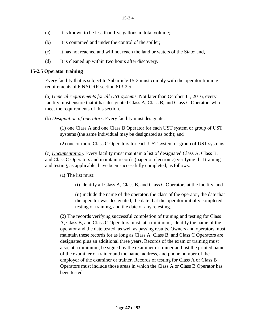- (a) It is known to be less than five gallons in total volume;
- (b) It is contained and under the control of the spiller;
- (c) It has not reached and will not reach the land or waters of the State; and,
- (d) It is cleaned up within two hours after discovery.

# **15-2.5 Operator training**

Every facility that is subject to Subarticle 15-2 must comply with the operator training requirements of 6 NYCRR section 613-2.5.

(a) *General requirements for all UST systems*. Not later than October 11, 2016, every facility must ensure that it has designated Class A, Class B, and Class C Operators who meet the requirements of this section.

(b) *Designation of operators*. Every facility must designate:

(1) one Class A and one Class B Operator for each UST system or group of UST systems (the same individual may be designated as both); and

(2) one or more Class C Operators for each UST system or group of UST systems.

(c) *Documentation*. Every facility must maintain a list of designated Class A, Class B, and Class C Operators and maintain records (paper or electronic) verifying that training and testing, as applicable, have been successfully completed, asfollows:

(1) The list must:

(i) identify all Class A, Class B, and Class C Operators at the facility; and

(ii) include the name of the operator, the class of the operator, the date that the operator was designated, the date that the operator initially completed testing or training, and the date of any retesting.

(2) The records verifying successful completion of training and testing for Class A, Class B, and Class C Operators must, at a minimum, identify the name of the operator and the date tested, as well as passing results. Owners and operators must maintain these records for as long as Class A, Class B, and Class C Operators are designated plus an additional three years. Records of the exam or training must also, at a minimum, be signed by the examiner or trainer and list the printed name of the examiner or trainer and the name, address, and phone number of the employer of the examiner or trainer. Records of testing for Class A or Class B Operators must include those areas in which the Class A or Class B Operator has been tested.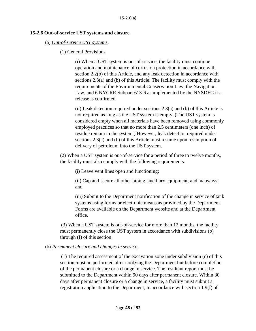#### **15-2.6 Out-of-service UST systems and closure**

#### (a) *Out-of-service UST systems*.

(1) General Provisions

(i) When a UST system is out-of-service, the facility must continue operation and maintenance of corrosion protection in accordance with section 2.2(b) of this Article, and any leak detection in accordance with sections 2.3(a) and (b) of this Article. The facility must comply with the requirements of the Environmental Conservation Law, the Navigation Law, and 6 NYCRR Subpart 613-6 as implemented by the NYSDEC if a release is confirmed.

(ii) Leak detection required under sections  $2.3(a)$  and (b) of this Article is not required as long as the UST system is empty. (The UST system is considered empty when all materials have been removed using commonly employed practices so that no more than 2.5 centimeters (one inch) of residue remain in the system.) However, leak detection required under sections 2.3(a) and (b) of this Article must resume upon resumption of delivery of petroleum into the UST system.

(2) When a UST system is out-of-service for a period of three to twelve months, the facility must also comply with the following requirements:

(i) Leave vent lines open and functioning;

(ii) Cap and secure all other piping, ancillary equipment, and manways; and

(iii) Submit to the Department notification of the change in service of tank systems using forms or electronic means as provided by the Department. Forms are available on the Department website and at the Department office.

(3) When a UST system is out-of-service for more than 12 months, the facility must permanently close the UST system in accordance with subdivisions (b) through (f) of this section.

### (b) *Permanent closure and changes in service*.

(1) The required assessment of the excavation zone under subdivision (c) of this section must be performed after notifying the Department but before completion of the permanent closure or a change in service. The resultant report must be submitted to the Department within 90 days after permanent closure. Within 30 days after permanent closure or a change in service, a facility must submit a registration application to the Department, in accordance with section 1.9(f) of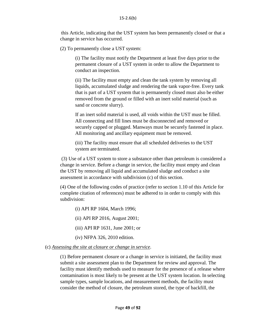this Article, indicating that the UST system has been permanently closed or that a change in service has occurred.

(2) To permanently close a UST system:

(i) The facility must notify the Department at least five days prior to the permanent closure of a UST system in order to allow the Department to conduct an inspection.

(ii) The facility must empty and clean the tank system by removing all liquids, accumulated sludge and rendering the tank vapor-free. Every tank that is part of a UST system that is permanently closed must also be either removed from the ground or filled with an inert solid material (such as sand or concrete slurry).

If an inert solid material is used, all voids within the UST must be filled. All connecting and fill lines must be disconnected and removed or securely capped or plugged. Manways must be securely fastened in place. All monitoring and ancillary equipment must be removed.

(iii) The facility must ensure that all scheduled deliveries to the UST system are terminated.

(3) Use of a UST system to store a substance other than petroleum is considered a change in service. Before a change in service, the facility must empty and clean the UST by removing all liquid and accumulated sludge and conduct a site assessment in accordance with subdivision (c) of this section.

(4) One of the following codes of practice (refer to section 1.10 of this Article for complete citation of references) must be adhered to in order to comply with this subdivision:

- (i) API RP 1604, March 1996;
- (ii) API RP 2016, August 2001;
- (iii) API RP 1631, June 2001; or
- (iv) NFPA 326, 2010 edition.

### (c) *Assessing the site at closure or change in service*.

(1) Before permanent closure or a change in service is initiated, the facility must submit a site assessment plan to the Department for review and approval. The facility must identify methods used to measure for the presence of a release where contamination is most likely to be present at the UST system location. In selecting sample types, sample locations, and measurement methods, the facility must consider the method of closure, the petroleum stored, the type of backfill, the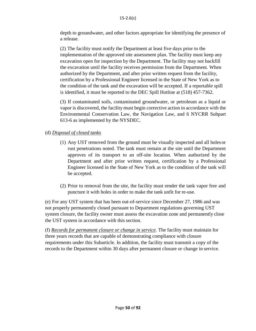depth to groundwater, and other factors appropriate for identifying the presence of a release.

(2) The facility must notify the Department at least five days prior to the implementation of the approved site assessment plan. The facility must keep any excavation open for inspection by the Department. The facility may not backfill the excavation until the facility receives permission from the Department. When authorized by the Department, and after prior written request from the facility, certification by a Professional Engineer licensed in the State of New York as to the condition of the tank and the excavation will be accepted. If a reportable spill is identified, it must be reported to the DEC Spill Hotline at (518) 457-7362.

(3) If contaminated soils, contaminated groundwater, or petroleum as a liquid or vapor is discovered, the facility must begin corrective action in accordance with the Environmental Conservation Law, the Navigation Law, and 6 NYCRR Subpart 613-6 as implemented by the NYSDEC.

# (d) *Disposal of closed tanks*

- (1) Any UST removed from the ground must be visually inspected and all holesor rust penetrations noted. The tank must remain at the site until the Department approves of its transport to an off-site location. When authorized by the Department and after prior written request, certification by a Professional Engineer licensed in the State of New York as to the condition of the tank will be accepted.
- (2) Prior to removal from the site, the facility must render the tank vapor free and puncture it with holes in order to make the tank unfit for re-use.

(e) For any UST system that has been out-of-service since December 27, 1986 and was not properly permanently closed pursuant to Department regulations governing UST system closure, the facility owner must assess the excavation zone and permanently close the UST system in accordance with this section.

(f) *Records for permanent closure or change in service*. The facility must maintain for three years records that are capable of demonstrating compliance with closure requirements under this Subarticle. In addition, the facility must transmit a copy of the records to the Department within 30 days after permanent closure or change in service.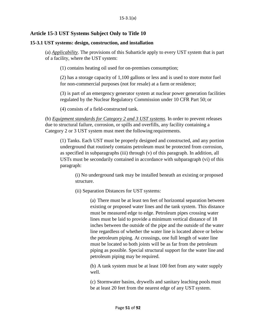# **Article 15-3 UST Systems Subject Only to Title 10**

### **15-3.1 UST systems: design, construction, and installation**

(a) *Applicability*. The provisions of this Subarticle apply to every UST system that is part of a facility, where the UST system:

(1) contains heating oil used for on-premises consumption;

(2) has a storage capacity of 1,100 gallons or less and is used to store motor fuel for non-commercial purposes (not for resale) at a farm or residence;

(3) is part of an emergency generator system at nuclear power generation facilities regulated by the Nuclear Regulatory Commission under 10 CFR Part 50; or

(4) consists of a field-constructed tank.

(b) *Equipment standards for Category 2 and 3 UST systems*. In order to prevent releases due to structural failure, corrosion, or spills and overfills, any facility containing a Category 2 or 3 UST system must meet the following requirements.

(1) Tanks. Each UST must be properly designed and constructed, and any portion underground that routinely contains petroleum must be protected from corrosion, as specified in subparagraphs (iii) through (v) of this paragraph. In addition, all USTs must be secondarily contained in accordance with subparagraph (vi) of this paragraph:

(i) No underground tank may be installed beneath an existing or proposed structure.

(ii) Separation Distances for UST systems:

(a) There must be at least ten feet of horizontal separation between existing or proposed water lines and the tank system. This distance must be measured edge to edge. Petroleum pipes crossing water lines must be laid to provide a minimum vertical distance of 18 inches between the outside of the pipe and the outside of the water line regardless of whether the water line is located above or below the petroleum piping. At crossings, one full length of water line must be located so both joints will be as far from the petroleum piping as possible. Special structural support for the water line and petroleum piping may be required.

(b) A tank system must be at least 100 feet from any water supply well.

(c) Stormwater basins, drywells and sanitary leaching pools must be at least 20 feet from the nearest edge of any UST system.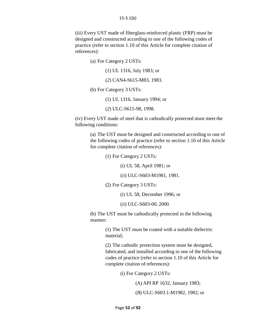(iii) Every UST made of fiberglass-reinforced plastic (FRP) must be designed and constructed according to one of the following codes of practice (refer to section 1.10 of this Article for complete citation of references):

(a) For Category 2 USTs:

(*1*) UL 1316, July 1983; or

(*2*) CAN4-S615-M83, 1983.

(b) For Category 3 USTs:

(1) UL 1316, January 1994; or

(*2*) ULC-S615-98, 1998.

(iv) Every UST made of steel that is cathodically protected must meet the following conditions:

> (a) The UST must be designed and constructed according to one of the following codes of practice (refer to section 1.10 of this Article for complete citation of references):

> > (1) For Category 2 USTs:

(i) UL 58, April 1981; or

(*ii*) ULC-S603-M1981, 1981.

(2) For Category 3 USTs:

(i) UL 58, December 1996; or

(*ii*) ULC-S603-00, 2000.

(b) The UST must be cathodically protected in the following manner:

> (1) The UST must be coated with a suitable dielectric material;

(2) The cathodic protection system must be designed, fabricated, and installed according to one of the following codes of practice (refer to section 1.10 of this Article for complete citation of references):

(i) For Category 2 USTs:

(A) API RP 1632, January 1983;

(*B*) ULC-S603.1-M1982, 1982; or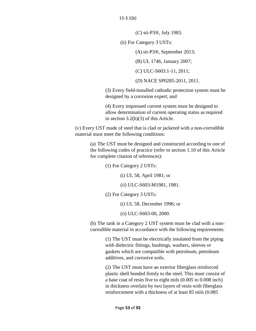(*C*) sti-P3®, July 1983.

(ii) For Category 3 USTs:

(A)sti-P3®, September 2013;

(B) UL 1746, January 2007;

(*C*) ULC-S603.1-11, 2011;

(*D*) NACE SP0285-2011, 2011.

(3) Every field-installed cathodic protection system must be designed by a corrosion expert; and

(4) Every impressed current system must be designed to allow determination of current operating status as required in section 3.2(b)(3) of this Article.

(v) Every UST made of steel that is clad or jacketed with a non-corrodible material must meet the following conditions:

(a) The UST must be designed and constructed according to one of the following codes of practice (refer to section 1.10 of this Article for complete citation of references):

(1) For Category 2 USTs:

(i) UL 58, April 1981; or

(*ii*) ULC-S603-M1981, 1981.

(2) For Category 3 USTs:

(i) UL 58, December 1996; or

(*ii*) ULC-S603-00, 2000.

(b) The tank in a Category 2 UST system must be clad with a noncorrodible material in accordance with the following requirements:

> (1) The UST must be electrically insulated from the piping with dielectric fittings, bushings, washers, sleeves or gaskets which are compatible with petroleum, petroleum additives, and corrosive soils.

(2) The UST must have an exterior fiberglass reinforced plastic shell bonded firmly to the steel. This must consist of a base coat of resin five to eight mils (0.005 to 0.008 inch) in thickness overlain by two layers of resin with fiberglass reinforcement with a thickness of at least 85 mils (0.085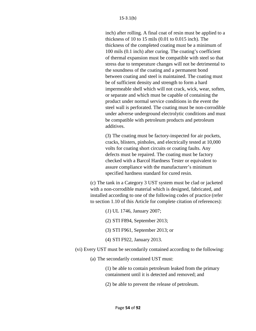inch) after rolling. A final coat of resin must be applied to a thickness of 10 to 15 mils (0.01 to 0.015 inch). The thickness of the completed coating must be a minimum of 100 mils (0.1 inch) after curing. The coating's coefficient of thermal expansion must be compatible with steel so that stress due to temperature changes will not be detrimental to the soundness of the coating and a permanent bond between coating and steel is maintained. The coating must be of sufficient density and strength to form a hard impermeable shell which will not crack, wick, wear, soften, or separate and which must be capable of containing the product under normal service conditions in the event the steel wall is perforated. The coating must be non-corrodible under adverse underground electrolytic conditions and must be compatible with petroleum products and petroleum additives.

(3) The coating must be factory-inspected for air pockets, cracks, blisters, pinholes, and electrically tested at 10,000 volts for coating short circuits or coating faults. Any defects must be repaired. The coating must be factory checked with a Barcol Hardness Tester or equivalent to assure compliance with the manufacturer's minimum specified hardness standard for cured resin.

(c) The tank in a Category 3 UST system must be clad or jacketed with a non-corrodible material which is designed, fabricated, and installed according to one of the following codes of practice (refer to section 1.10 of this Article for complete citation of references):

(*1*) UL 1746, January 2007;

(2) STI F894, September 2013;

(3) STI F961, September 2013; or

(4) STI F922, January 2013.

(vi) Every UST must be secondarily contained according to the following:

(a) The secondarily contained UST must:

(1) be able to contain petroleum leaked from the primary containment until it is detected and removed; and

(2) be able to prevent the release of petroleum.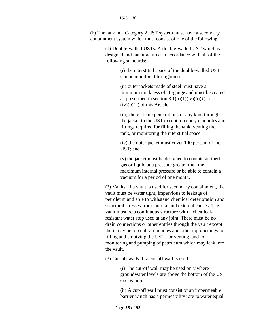(b) The tank in a Category 2 UST system must have a secondary containment system which must consist of one of the following:

> (1) Double-walled USTs. A double-walled UST which is designed and manufactured in accordance with all of the following standards:

> > (i) the interstitial space of the double-walled UST can be monitored for tightness;

(ii) outer jackets made of steel must have a minimum thickness of 10-gauge and must be coated as prescribed in section  $3.1(b)(1)(iv)(b)(1)$  or  $(iv)(b)(2)$  of this Article;

(iii) there are no penetrations of any kind through the jacket to the UST except top entry manholes and fittings required for filling the tank, venting the tank, or monitoring the interstitial space;

(iv) the outer jacket must cover 100 percent of the UST; and

(v) the jacket must be designed to contain an inert gas or liquid at a pressure greater than the maximum internal pressure or be able to contain a vacuum for a period of one month.

(2) Vaults. If a vault is used for secondary containment, the vault must be water tight, impervious to leakage of petroleum and able to withstand chemical deterioration and structural stresses from internal and external causes. The vault must be a continuous structure with a chemicalresistant water stop used at any joint. There must be no drain connections or other entries through the vault except there may be top entry manholes and other top openings for filling and emptying the UST, for venting, and for monitoring and pumping of petroleum which may leak into the vault.

(3) Cut-off walls. If a cut-off wall is used:

(i) The cut-off wall may be used only where groundwater levels are above the bottom of the UST excavation.

(ii) A cut-off wall must consist of an impermeable barrier which has a permeability rate to water equal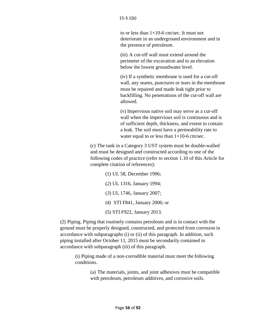to or less than  $1\times10$ -6 cm/sec. It must not deteriorate in an underground environment and in the presence of petroleum.

(iii) A cut-off wall must extend around the perimeter of the excavation and to an elevation below the lowest groundwater level.

(iv) If a synthetic membrane is used for a cut-off wall, any seams, punctures or tears in the membrane must be repaired and made leak tight prior to backfilling. No penetrations of the cut-off wall are allowed.

(v) Impervious native soil may serve as a cut-off wall when the impervious soil is continuous and is of sufficient depth, thickness, and extent to contain a leak. The soil must have a permeability rate to water equal to or less than  $1\times10-6$  cm/sec.

(c) The tank in a Category 3 UST system must be double-walled and must be designed and constructed according to one of the following codes of practice (refer to section 1.10 of this Article for complete citation of references):

> (1) UL 58, December 1996; (*2*) UL 1316, January 1994; (*3*) UL 1746, January 2007; (4) STI F841, January 2006; or (5) STI F922, January 2013.

(2) Piping. Piping that routinely contains petroleum and is in contact with the ground must be properly designed, constructed, and protected from corrosion in accordance with subparagraphs (i) or (ii) of this paragraph. In addition, such piping installed after October 11, 2015 must be secondarily contained in accordance with subparagraph (iii) of this paragraph.

(i) Piping made of a non-corrodible material must meet the following conditions.

> (a) The materials, joints, and joint adhesives must be compatible with petroleum, petroleum additives, and corrosive soils.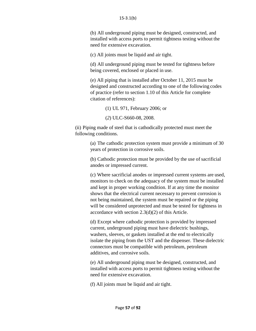#### 15-3.1(b)

(b) All underground piping must be designed, constructed, and installed with access ports to permit tightness testing without the need for extensive excavation.

(c) All joints must be liquid and air tight.

(d) All underground piping must be tested for tightness before being covered, enclosed or placed in use.

(e) All piping that is installed after October 11, 2015 must be designed and constructed according to one of the following codes of practice (refer to section 1.10 of this Article for complete citation of references):

(1) UL 971, February 2006; or

(*2*) ULC-S660-08, 2008.

(ii) Piping made of steel that is cathodically protected must meet the following conditions.

> (a) The cathodic protection system must provide a minimum of 30 years of protection in corrosive soils.

(b) Cathodic protection must be provided by the use of sacrificial anodes or impressed current.

(c) Where sacrificial anodes or impressed current systems are used, monitors to check on the adequacy of the system must be installed and kept in proper working condition. If at any time the monitor shows that the electrical current necessary to prevent corrosion is not being maintained, the system must be repaired or the piping will be considered unprotected and must be tested for tightness in accordance with section 2.3(d)(2) of this Article.

(d) Except where cathodic protection is provided by impressed current, underground piping must have dielectric bushings, washers, sleeves, or gaskets installed at the end to electrically isolate the piping from the UST and the dispenser. These dielectric connectors must be compatible with petroleum, petroleum additives, and corrosive soils.

(e) All underground piping must be designed, constructed, and installed with access ports to permit tightness testing without the need for extensive excavation.

(f) All joints must be liquid and air tight.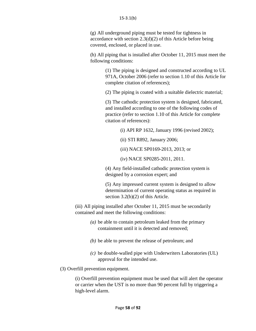#### 15-3.1(b)

(g) All underground piping must be tested for tightness in accordance with section 2.3(d)(2) of this Article before being covered, enclosed, or placed in use.

(h) All piping that is installed after October 11, 2015 must meet the following conditions:

> (1) The piping is designed and constructed according to UL 971A, October 2006 (refer to section 1.10 of this Article for complete citation of references);

(2) The piping is coated with a suitable dielectric material;

(3) The cathodic protection system is designed, fabricated, and installed according to one of the following codes of practice (refer to section 1.10 of this Article for complete citation of references):

(i) API RP 1632, January 1996 (revised 2002);

(ii) STI R892, January 2006;

(*iii*) NACE SP0169-2013, 2013; or

(i*v*) NACE SP0285-2011, 2011.

(4) Any field-installed cathodic protection system is designed by a corrosion expert; and

(5) Any impressed current system is designed to allow determination of current operating status as required in section 3.2(b)(2) of this Article.

(iii) All piping installed after October 11, 2015 must be secondarily contained and meet the following conditions:

- *(a)* be able to contain petroleum leaked from the primary containment until it is detected and removed;
- *(b)* be able to prevent the release of petroleum; and
- *(c)* be double-walled pipe with Underwriters Laboratories (UL) approval for the intended use.

(3) Overfill prevention equipment.

(i) Overfill prevention equipment must be used that will alert the operator or carrier when the UST is no more than 90 percent full by triggering a high-level alarm.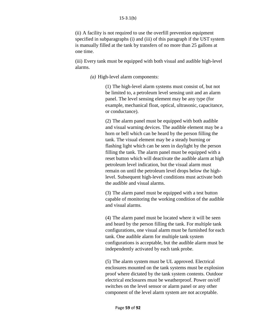(ii) A facility is not required to use the overfill prevention equipment specified in subparagraphs (i) and (iii) of this paragraph if the UST system is manually filled at the tank by transfers of no more than 25 gallons at one time.

(iii) Every tank must be equipped with both visual and audible high-level alarms.

*(a)* High-level alarm components:

(1) The high-level alarm systems must consist of, but not be limited to, a petroleum level sensing unit and an alarm panel. The level sensing element may be any type (for example, mechanical float, optical, ultrasonic, capacitance, or conductance).

(2) The alarm panel must be equipped with both audible and visual warning devices. The audible element may be a horn or bell which can be heard by the person filling the tank. The visual element may be a steady burning or flashing light which can be seen in daylight by the person filling the tank. The alarm panel must be equipped with a reset button which will deactivate the audible alarm at high petroleum level indication, but the visual alarm must remain on until the petroleum level drops below the highlevel. Subsequent high-level conditions must activate both the audible and visual alarms.

(3) The alarm panel must be equipped with a test button capable of monitoring the working condition of the audible and visual alarms.

(4) The alarm panel must be located where it will be seen and heard by the person filling the tank. For multiple tank configurations, one visual alarm must be furnished for each tank. One audible alarm for multiple tank system configurations is acceptable, but the audible alarm must be independently activated by each tank probe.

(5) The alarm system must be UL approved. Electrical enclosures mounted on the tank systems must be explosion proof where dictated by the tank system contents. Outdoor electrical enclosures must be weatherproof. Power on/off switches on the level sensor or alarm panel or any other component of the level alarm system are not acceptable.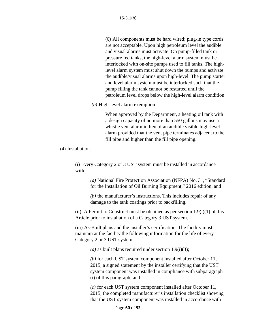(6) All components must be hard wired; plug-in type cords are not acceptable. Upon high petroleum level the audible and visual alarms must activate. On pump-filled tank or pressure fed tanks, the high-level alarm system must be interlocked with on-site pumps used to fill tanks. The highlevel alarm system must shut down the pumps and activate the audible/visual alarms upon high-level. The pump starter and level alarm system must be interlocked such that the pump filling the tank cannot be restarted until the petroleum level drops below the high-level alarm condition.

*(b)* High-level alarm exemption:

When approved by the Department, a heating oil tank with a design capacity of no more than 550 gallons may use a whistle vent alarm in lieu of an audible visible high-level alarm provided that the vent pipe terminates adjacent to the fill pipe and higher than the fill pipe opening.

(4) Installation.

(i) Every Category 2 or 3 UST system must be installed in accordance with:

> *(a)* National Fire Protection Association (NFPA) No. 31, "Standard for the Installation of Oil Burning Equipment," 2016 edition; and

*(b)* the manufacturer's instructions. This includes repair of any damage to the tank coatings prior to backfilling.

(ii) A Permit to Construct must be obtained as per section  $1.9(i)(1)$  of this Article prior to installation of a Category 3 UST system.

(iii) As-Built plans and the installer's certification. The facility must maintain at the facility the following information for the life of every Category 2 or 3 UST system:

*(a)* as built plans required under section 1.9(i)(3);

*(b)* for each UST system component installed after October 11, 2015, a signed statement by the installer certifying that the UST system component was installed in compliance with subparagraph (i) of this paragraph; and

*(c)* for each UST system component installed after October 11, 2015, the completed manufacturer's installation checklist showing that the UST system component was installed in accordance with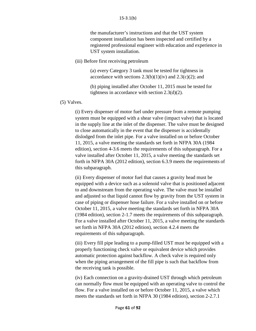the manufacturer's instructions and that the UST system component installation has been inspected and certified by a registered professional engineer with education and experience in UST system installation.

(iii) Before first receiving petroleum

(a) every Category 3 tank must be tested for tightness in accordance with sections  $2.3(b)(1)(iv)$  and  $2.3(c)(2)$ ; and

(b) piping installed after October 11, 2015 must be tested for tightness in accordance with section 2.3(d)(2).

(5) Valves.

(i) Every dispenser of motor fuel under pressure from a remote pumping system must be equipped with a shear valve (impact valve) that is located in the supply line at the inlet of the dispenser. The valve must be designed to close automatically in the event that the dispenser is accidentally dislodged from the inlet pipe. For a valve installed on or before October 11, 2015, a valve meeting the standards set forth in NFPA 30A (1984 edition), section 4-3.6 meets the requirements of this subparagraph. For a valve installed after October 11, 2015, a valve meeting the standards set forth in NFPA 30A (2012 edition), section 6.3.9 meets the requirements of this subparagraph.

(ii) Every dispenser of motor fuel that causes a gravity head must be equipped with a device such as a solenoid valve that is positioned adjacent to and downstream from the operating valve. The valve must be installed and adjusted so that liquid cannot flow by gravity from the UST system in case of piping or dispenser hose failure. For a valve installed on or before October 11, 2015, a valve meeting the standards set forth in NFPA 30A (1984 edition), section 2-1.7 meets the requirements of this subparagraph. For a valve installed after October 11, 2015, a valve meeting the standards set forth in NFPA 30A (2012 edition), section 4.2.4 meets the requirements of this subparagraph.

(iii) Every fill pipe leading to a pump-filled UST must be equipped with a properly functioning check valve or equivalent device which provides automatic protection against backflow. A check valve is required only when the piping arrangement of the fill pipe is such that backflow from the receiving tank is possible.

(iv) Each connection on a gravity-drained UST through which petroleum can normally flow must be equipped with an operating valve to control the flow. For a valve installed on or before October 11, 2015, a valve which meets the standards set forth in NFPA 30 (1984 edition), section 2-2.7.1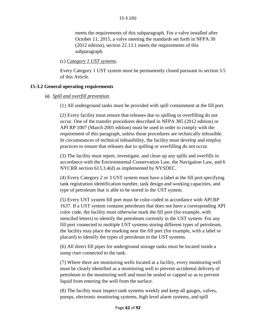meets the requirements of this subparagraph. For a valve installed after October 11, 2015, a valve meeting the standards set forth in NFPA 30 (2012 edition), section 22.13.1 meets the requirements of this subparagraph.

(c) *Category 1 UST systems*.

Every Category 1 UST system must be permanently closed pursuant to section 3.5 of this Article.

## **15-3.2 General operating requirements**

## (a) *Spill and overfill prevention*.

(1) All underground tanks must be provided with spill containment at the fill port.

(2) Every facility must ensure that releases due to spilling or overfilling do not occur. One of the transfer procedures described in NFPA 385 (2012 edition) or API RP 1007 (March 2001 edition) must be used in order to comply with the requirement of this paragraph, unless those procedures are technically infeasible. In circumstances of technical infeasibility, the facility must develop and employ practices to ensure that releases due to spilling or overfilling do not occur.

(3) The facility must report, investigate, and clean up any spills and overfills in accordance with the Environmental Conservation Law, the Navigation Law, and 6 NYCRR section 613.3.4(d) as implemented by NYSDEC.

(4) Every Category 2 or 3 UST system must have a label at the fill portspecifying tank registration identification number, tank design and working capacities, and type of petroleum that is able to be stored in the UST system.

(5) Every UST system fill port must be color coded in accordance with API RP 1637. If a UST system contains petroleum that does not have a corresponding API color code, the facility must otherwise mark the fill port (for example, with stenciled letters) to identify the petroleum currently in the UST system. For any fill port connected to multiple UST systems storing different types of petroleum, the facility may place the marking near the fill port (for example, with a label or placard) to identify the types of petroleum in the UST systems.

(6) All direct fill pipes for underground storage tanks must be located inside a sump riser connected to the tank.

(7) Where there are monitoring wells located at a facility, every monitoring well must be clearly identified as a monitoring well to prevent accidental delivery of petroleum to the monitoring well and must be sealed or capped so as to prevent liquid from entering the well from the surface.

(8) The facility must inspect tank systems weekly and keep all gauges, valves, pumps, electronic monitoring systems, high level alarm systems, and spill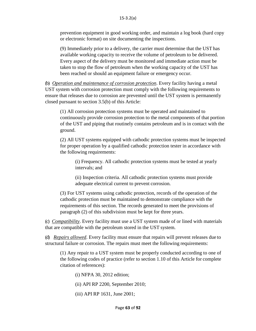#### 15-3.2(a)

prevention equipment in good working order, and maintain a log book (hard copy or electronic format) on site documenting the inspections.

(9) Immediately prior to a delivery, the carrier must determine that the UST has available working capacity to receive the volume of petroleum to be delivered. Every aspect of the delivery must be monitored and immediate action must be taken to stop the flow of petroleum when the working capacity of the UST has been reached or should an equipment failure or emergency occur.

(b) *Operation and maintenance of corrosion protection*. Every facility having a metal UST system with corrosion protection must comply with the following requirements to ensure that releases due to corrosion are prevented until the UST system is permanently closed pursuant to section 3.5(b) of this Article:

(1) All corrosion protection systems must be operated and maintained to continuously provide corrosion protection to the metal components of that portion of the UST and piping that routinely contains petroleum and is in contact with the ground.

(2) All UST systems equipped with cathodic protection systems must be inspected for proper operation by a qualified cathodic protection tester in accordance with the following requirements:

(i) Frequency. All cathodic protection systems must be tested at yearly intervals; and

(ii) Inspection criteria. All cathodic protection systems must provide adequate electrical current to prevent corrosion.

(3) For UST systems using cathodic protection, records of the operation of the cathodic protection must be maintained to demonstrate compliance with the requirements of this section. The records generated to meet the provisions of paragraph (2) of this subdivision must be kept for three years.

(c) *Compatibility*. Every facility must use a UST system made of or lined with materials that are compatible with the petroleum stored in the UST system.

(d) *Repairs allowed*. Every facility must ensure that repairs will prevent releases due to structural failure or corrosion. The repairs must meet the following requirements:

(1) Any repair to a UST system must be properly conducted according to one of the following codes of practice (refer to section 1.10 of this Article for complete citation of references):

- (i) NFPA 30, 2012 edition;
- (ii) API RP 2200, September 2010;
- (iii) API RP 1631, June 2001;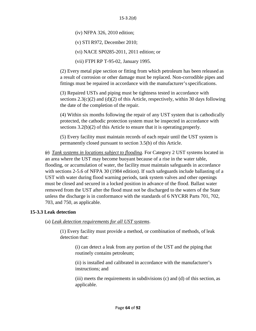(iv) NFPA 326, 2010 edition;

(v) STI R972, December 2010;

(vi) NACE SP0285-2011, 2011 edition; or

(vii) FTPI RP T-95-02, January 1995.

(2) Every metal pipe section or fitting from which petroleum has been released as a result of corrosion or other damage must be replaced. Non-corrodible pipes and fittings must be repaired in accordance with the manufacturer'sspecifications.

(3) Repaired USTs and piping must be tightness tested in accordance with sections  $2.3(c)(2)$  and  $(d)(2)$  of this Article, respectively, within 30 days following the date of the completion of the repair.

(4) Within six months following the repair of any UST system that is cathodically protected, the cathodic protection system must be inspected in accordance with sections 3.2(b)(2) of this Article to ensure that it is operating properly.

(5) Every facility must maintain records of each repair until the UST system is permanently closed pursuant to section 3.5(b) of this Article.

(e) *Tank systems in locations subject to flooding*. For Category 2 UST systems located in an area where the UST may become buoyant because of a rise in the water table, flooding, or accumulation of water, the facility must maintain safeguards in accordance with sections 2-5.6 of NFPA 30 (1984 edition). If such safeguards include ballasting of a UST with water during flood warning periods, tank system valves and other openings must be closed and secured in a locked position in advance of the flood. Ballast water removed from the UST after the flood must not be discharged to the waters of the State unless the discharge is in conformance with the standards of 6 NYCRR Parts 701, 702, 703, and 750, as applicable.

### **15-3.3 Leak detection**

(a) *Leak detection requirements for all UST systems*.

(1) Every facility must provide a method, or combination of methods, of leak detection that:

(i) can detect a leak from any portion of the UST and the piping that routinely contains petroleum;

(ii) is installed and calibrated in accordance with the manufacturer's instructions; and

(iii) meets the requirements in subdivisions (c) and (d) of this section, as applicable.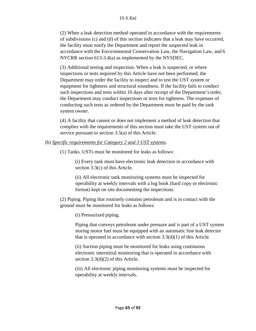(2) When a leak detection method operated in accordance with the requirements of subdivisions (c) and (d) of this section indicates that a leak may have occurred, the facility must notify the Department and report the suspected leak in accordance with the Environmental Conservation Law, the Navigation Law, and 6 NYCRR section 613-3.4(a) as implemented by the NYSDEC.

(3) Additional testing and inspection. When a leak is suspected, or where inspections or tests required by this Article have not been performed, the Department may order the facility to inspect and to test the UST system or equipment for tightness and structural soundness. If the facility fails to conduct such inspections and tests within 10 days after receipt of the Department's order, the Department may conduct inspections or tests for tightness. The expenses of conducting such tests as ordered by the Department must be paid by the tank system owner.

(4) A facility that cannot or does not implement a method of leak detection that complies with the requirements of this section must take the UST system out of service pursuant to section 3.5(a) of this Article.

### (b) *Specific requirements for Category 2 and 3 UST systems*.

(1) Tanks. USTs must be monitored for leaks as follows:

(i) Every tank must have electronic leak detection in accordance with section 3.3(c) of this Article.

(ii) All electronic tank monitoring systems must be inspected for operability at weekly intervals with a log book (hard copy or electronic format) kept on site documenting the inspections.

(2) Piping. Piping that routinely contains petroleum and is in contact with the ground must be monitored for leaks as follows:

(i) Pressurized piping.

Piping that conveys petroleum under pressure and is part of a UST system storing motor fuel must be equipped with an automatic line leak detector that is operated in accordance with section 3.3(d)(1) of this Article.

(ii) Suction piping must be monitored for leaks using continuous electronic interstitial monitoring that is operated in accordance with section 3.3(d)(2) of this Article.

(iii) All electronic piping monitoring systems must be inspected for operability at weekly intervals.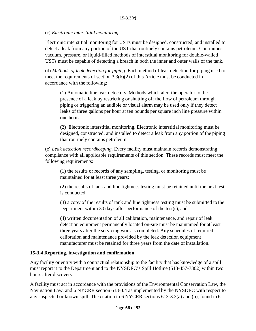## (c) *Electronic interstitial monitoring*.

Electronic interstitial monitoring for USTs must be designed, constructed, and installed to detect a leak from any portion of the UST that routinely contains petroleum. Continuous vacuum, pressure, or liquid-filled methods of interstitial monitoring for double-walled USTs must be capable of detecting a breach in both the inner and outer walls of the tank.

(d) *Methods of leak detection for piping*. Each method of leak detection for piping used to meet the requirements of section 3.3(b)(2) of this Article must be conducted in accordance with the following:

(1) Automatic line leak detectors. Methods which alert the operator to the presence of a leak by restricting or shutting off the flow of petroleum through piping or triggering an audible or visual alarm may be used only if they detect leaks of three gallons per hour at ten pounds per square inch line pressure within one hour.

(2) Electronic interstitial monitoring. Electronic interstitial monitoring must be designed, constructed, and installed to detect a leak from any portion of the piping that routinely contains petroleum.

(e) *Leak detection recordkeeping*. Every facility must maintain records demonstrating compliance with all applicable requirements of this section. These records must meet the following requirements:

(1) the results or records of any sampling, testing, or monitoring must be maintained for at least three years;

(2) the results of tank and line tightness testing must be retained until the next test is conducted;

(3) a copy of the results of tank and line tightness testing must be submitted to the Department within 30 days after performance of the test(s); and

(4) written documentation of all calibration, maintenance, and repair of leak detection equipment permanently located on-site must be maintained for at least three years after the servicing work is completed. Any schedules of required calibration and maintenance provided by the leak detection equipment manufacturer must be retained for three years from the date of installation.

# **15-3.4 Reporting, investigation and confirmation**

Any facility or entity with a contractual relationship to the facility that has knowledge of a spill must report it to the Department and to the NYSDEC's Spill Hotline (518-457-7362) within two hours after discovery.

A facility must act in accordance with the provisions of the Environmental Conservation Law, the Navigation Law, and 6 NYCRR section 613-3.4 as implemented by the NYSDEC with respect to any suspected or known spill. The citation to 6 NYCRR sections 613-3.3(a) and (b), found in 6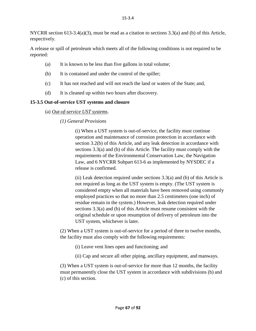NYCRR section 613-3.4(a)(3), must be read as a citation to sections 3.3(a) and (b) of this Article, respectively.

A release or spill of petroleum which meets all of the following conditions is not required to be reported:

- (a) It is known to be less than five gallons in total volume;
- (b) It is contained and under the control of the spiller;
- (c) It has not reached and will not reach the land or waters of the State; and,
- (d) It is cleaned up within two hours after discovery.

# **15-3.5 Out-of-service UST systems and closure**

(a) *Out-of-service UST systems*.

# *(1) General Provisions*

(i) When a UST system is out-of-service, the facility must continue operation and maintenance of corrosion protection in accordance with section 3.2(b) of this Article, and any leak detection in accordance with sections 3.3(a) and (b) of this Article. The facility must comply with the requirements of the Environmental Conservation Law, the Navigation Law, and 6 NYCRR Subpart 613-6 as implemented by NYSDEC if a release is confirmed.

(ii) Leak detection required under sections  $3.3(a)$  and (b) of this Article is not required as long as the UST system is empty. (The UST system is considered empty when all materials have been removed using commonly employed practices so that no more than 2.5 centimeters (one inch) of residue remain in the system.) However, leak detection required under sections 3.3(a) and (b) of this Article must resume consistent with the original schedule or upon resumption of delivery of petroleum into the UST system, whichever is later.

(2) When a UST system is out-of-service for a period of three to twelve months, the facility must also comply with the following requirements:

- (i) Leave vent lines open and functioning; and
- (ii) Cap and secure all other piping, ancillary equipment, and manways.

(3) When a UST system is out-of-service for more than 12 months, the facility must permanently close the UST system in accordance with subdivisions (b) and (c) of this section.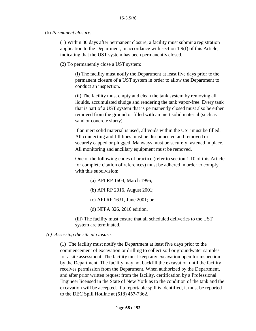## (b) *Permanent closure*.

(1) Within 30 days after permanent closure, a facility must submit a registration application to the Department, in accordance with section 1.9(f) of this Article, indicating that the UST system has been permanently closed.

(2) To permanently close a UST system:

(i) The facility must notify the Department at least five days prior to the permanent closure of a UST system in order to allow the Department to conduct an inspection.

(ii) The facility must empty and clean the tank system by removing all liquids, accumulated sludge and rendering the tank vapor-free. Every tank that is part of a UST system that is permanently closed must also be either removed from the ground or filled with an inert solid material (such as sand or concrete slurry).

If an inert solid material is used, all voids within the UST must be filled. All connecting and fill lines must be disconnected and removed or securely capped or plugged. Manways must be securely fastened in place. All monitoring and ancillary equipment must be removed.

One of the following codes of practice (refer to section 1.10 of this Article for complete citation of references) must be adhered in order to comply with this subdivision:

- (a) API RP 1604, March 1996;
- (b) API RP 2016, August 2001;
- (c) API RP 1631, June 2001; or
- (d) NFPA 326, 2010 edition.

(iii) The facility must ensure that all scheduled deliveries to the UST system are terminated.

*(c) Assessing the site at closure.*

(1) The facility must notify the Department at least five days prior to the commencement of excavation or drilling to collect soil or groundwater samples for a site assessment. The facility must keep any excavation open for inspection by the Department. The facility may not backfill the excavation until the facility receives permission from the Department. When authorized by the Department, and after prior written request from the facility, certification by a Professional Engineer licensed in the State of New York as to the condition of the tank and the excavation will be accepted. If a reportable spill is identified, it must be reported to the DEC Spill Hotline at (518) 457-7362.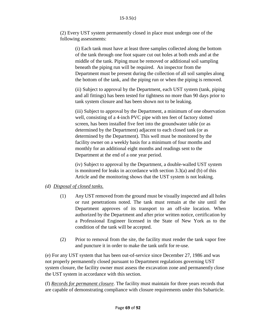(2) Every UST system permanently closed in place must undergo one of the following assessments:

(i) Each tank must have at least three samples collected along the bottom of the tank through one foot square cut out holes at both ends and at the middle of the tank. Piping must be removed or additional soil sampling beneath the piping run will be required. An inspector from the Department must be present during the collection of all soil samples along the bottom of the tank, and the piping run or when the piping is removed.

(ii) Subject to approval by the Department, each UST system (tank, piping and all fittings) has been tested for tightness no more than 90 days prior to tank system closure and has been shown not to be leaking.

(iii) Subject to approval by the Department, a minimum of one observation well, consisting of a 4-inch PVC pipe with ten feet of factory slotted screen, has been installed five feet into the groundwater table (or as determined by the Department) adjacent to each closed tank (or as determined by the Department). This well must be monitored by the facility owner on a weekly basis for a minimum of four months and monthly for an additional eight months and readings sent to the Department at the end of a one year period.

(iv) Subject to approval by the Department, a double-walled UST system is monitored for leaks in accordance with section 3.3(a) and (b) of this Article and the monitoring shows that the UST system is not leaking.

# *(d) Disposal of closed tanks.*

- (1) Any UST removed from the ground must be visually inspected and all holes or rust penetrations noted. The tank must remain at the site until the Department approves of its transport to an off-site location. When authorized by the Department and after prior written notice, certification by a Professional Engineer licensed in the State of New York as to the condition of the tank will be accepted.
- (2) Prior to removal from the site, the facility must render the tank vapor free and puncture it in order to make the tank unfit for re-use.

(e) For any UST system that has been out-of-service since December 27, 1986 and was not properly permanently closed pursuant to Department regulations governing UST system closure, the facility owner must assess the excavation zone and permanently close the UST system in accordance with this section.

(f) *Records for permanent closure*. The facility must maintain for three years records that are capable of demonstrating compliance with closure requirements under this Subarticle.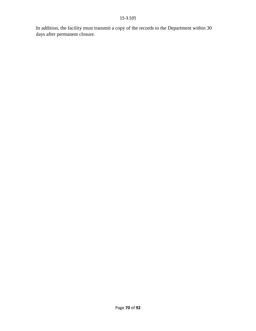In addition, the facility must transmit a copy of the records to the Department within 30 days after permanent closure.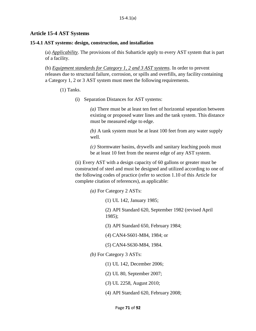## **Article 15-4 AST Systems**

#### **15-4.1 AST systems: design, construction, and installation**

(a) *Applicability*. The provisions of this Subarticle apply to every AST system that is part of a facility.

(b) *Equipment standards for Category 1, 2 and 3 AST systems*. In order to prevent releases due to structural failure, corrosion, or spills and overfills, any facility containing a Category 1, 2 or 3 AST system must meet the following requirements.

(1) Tanks.

(i) Separation Distances for AST systems:

*(a)* There must be at least ten feet of horizontal separation between existing or proposed water lines and the tank system. This distance must be measured edge to edge.

*(b)* A tank system must be at least 100 feet from any water supply well.

*(c)* Stormwater basins, drywells and sanitary leaching pools must be at least 10 feet from the nearest edge of any AST system.

(ii) Every AST with a design capacity of 60 gallons or greater must be constructed of steel and must be designed and utilized according to one of the following codes of practice (refer to section 1.10 of this Article for complete citation of references), as applicable:

*(a)* For Category 2 ASTs:

(1) UL 142, January 1985;

(2) API Standard 620, September 1982 (revised April 1985);

- (3) API Standard 650, February 1984;
- (*4*) CAN4-S601-M84, 1984; or
- (*5*) CAN4-S630-M84, 1984.
- *(b)* For Category 3 ASTs:
	- (1) UL 142, December 2006;
	- (2) UL 80, September 2007;
	- (*3*) UL 2258, August 2010;
	- (4) API Standard 620, February 2008;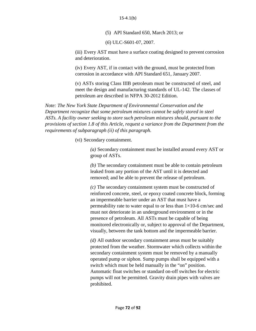(5) API Standard 650, March 2013; or

(*6*) ULC-S601-07, 2007.

(iii) Every AST must have a surface coating designed to prevent corrosion and deterioration.

(iv) Every AST, if in contact with the ground, must be protected from corrosion in accordance with API Standard 651, January 2007.

(v) ASTs storing Class IIIB petroleum must be constructed of steel, and meet the design and manufacturing standards of UL-142. The classes of petroleum are described in NFPA 30-2012 Edition.

*Note: The New York State Department of Environmental Conservation and the Department recognize that some petroleum mixtures cannot be safely stored in steel ASTs. A facility owner seeking to store such petroleum mixtures should, pursuant to the provisions of section 1.8 of this Article, request a variance from the Department from the requirements of subparagraph (ii) of this paragraph.*

(vi) Secondary containment.

*(a)* Secondary containment must be installed around every AST or group of ASTs.

*(b)* The secondary containment must be able to contain petroleum leaked from any portion of the AST until it is detected and removed; and be able to prevent the release of petroleum.

*(c)* The secondary containment system must be constructed of reinforced concrete, steel, or epoxy coated concrete block, forming an impermeable barrier under an AST that must have a permeability rate to water equal to or less than  $1\times10$ -6 cm/sec and must not deteriorate in an underground environment or in the presence of petroleum. All ASTs must be capable of being monitored electronically or, subject to approval of the Department, visually, between the tank bottom and the impermeable barrier.

*(d)* All outdoor secondary containment areas must be suitably protected from the weather. Stormwater which collects within the secondary containment system must be removed by a manually operated pump or siphon. Sump pumps shall be equipped with a switch which must be held manually in the "on" position. Automatic float switches or standard on-off switches for electric pumps will not be permitted. Gravity drain pipes with valves are prohibited.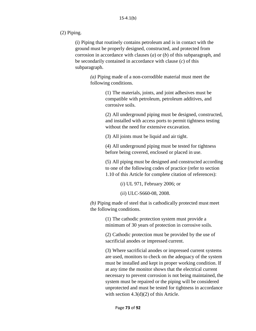### (2) Piping.

(i) Piping that routinely contains petroleum and is in contact with the ground must be properly designed, constructed, and protected from corrosion in accordance with clauses (*a*) or (*b*) of this subparagraph, and be secondarily contained in accordance with clause (*c*) of this subparagraph.

> *(a)* Piping made of a non-corrodible material must meet the following conditions.

> > (1) The materials, joints, and joint adhesives must be compatible with petroleum, petroleum additives, and corrosive soils.

(2) All underground piping must be designed, constructed, and installed with access ports to permit tightness testing without the need for extensive excavation.

(3) All joints must be liquid and air tight.

(4) All underground piping must be tested for tightness before being covered, enclosed or placed in use.

(5) All piping must be designed and constructed according to one of the following codes of practice (refer to section 1.10 of this Article for complete citation of references):

(*i*) UL 971, February 2006; or

(*ii*) ULC-S660-08, 2008.

*(b)* Piping made of steel that is cathodically protected must meet the following conditions.

> (1) The cathodic protection system must provide a minimum of 30 years of protection in corrosive soils.

(2) Cathodic protection must be provided by the use of sacrificial anodes or impressed current.

(3) Where sacrificial anodes or impressed current systems are used, monitors to check on the adequacy of the system must be installed and kept in proper working condition. If at any time the monitor shows that the electrical current necessary to prevent corrosion is not being maintained, the system must be repaired or the piping will be considered unprotected and must be tested for tightness in accordance with section  $4.3(d)(2)$  of this Article.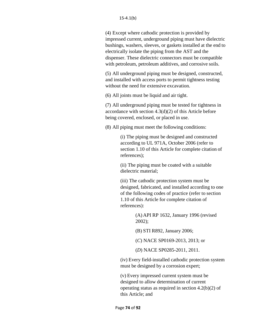(4) Except where cathodic protection is provided by impressed current, underground piping must have dielectric bushings, washers, sleeves, or gaskets installed at the end to electrically isolate the piping from the AST and the dispenser. These dielectric connectors must be compatible with petroleum, petroleum additives, and corrosive soils.

(5) All underground piping must be designed, constructed, and installed with access ports to permit tightness testing without the need for extensive excavation.

(6) All joints must be liquid and air tight.

(7) All underground piping must be tested for tightness in accordance with section 4.3(d)(2) of this Article before being covered, enclosed, or placed in use.

(8) All piping must meet the following conditions:

(i) The piping must be designed and constructed according to UL 971A, October 2006 (refer to section 1.10 of this Article for complete citation of references);

(ii) The piping must be coated with a suitable dielectric material;

(iii) The cathodic protection system must be designed, fabricated, and installed according to one of the following codes of practice (refer to section 1.10 of this Article for complete citation of references):

> (A) API RP 1632, January 1996 (revised 2002);

(B) STI R892, January 2006;

(*C*) NACE SP0169-2013, 2013; or

(*D*) NACE SP0285-2011, 2011.

(iv) Every field-installed cathodic protection system must be designed by a corrosion expert;

(v) Every impressed current system must be designed to allow determination of current operating status as required in section 4.2(b)(2) of this Article; and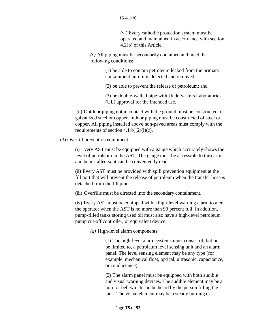(vi) Every cathodic protection system must be operated and maintained in accordance with section 4.2(b) of this Article.

*(c)* All piping must be secondarily contained and meet the following conditions:

> (1) be able to contain petroleum leaked from the primary containment until it is detected and removed;

(2) be able to prevent the release of petroleum; and

(3) be double-walled pipe with Underwriters Laboratories (UL) approval for the intended use.

(ii) Outdoor piping not in contact with the ground must be constructed of galvanized steel or copper. Indoor piping must be constructed of steel or copper. All piping installed above non-paved areas must comply with the requirements of section  $4.1(b)(2)(i)(c)$ .

(3) Overfill prevention equipment.

(i) Every AST must be equipped with a gauge which accurately shows the level of petroleum in the AST. The gauge must be accessible to the carrier and be installed so it can be conveniently read.

(ii) Every AST must be provided with spill prevention equipment at the fill port that will prevent the release of petroleum when the transfer hose is detached from the fill pipe.

(iii) Overfills must be directed into the secondary containment.

(iv) Every AST must be equipped with a high-level warning alarm to alert the operator when the AST is no more than 90 percent full. In addition, pump-filled tanks storing used oil must also have a high-level petroleum pump cut-off controller, or equivalent device.

*(a)* High-level alarm components:

(1) The high-level alarm systems must consist of, but not be limited to, a petroleum level sensing unit and an alarm panel. The level sensing element may be any type (for example, mechanical float, optical, ultrasonic, capacitance, or conductance).

(2) The alarm panel must be equipped with both audible and visual warning devices. The audible element may be a horn or bell which can be heard by the person filling the tank. The visual element may be a steady burning or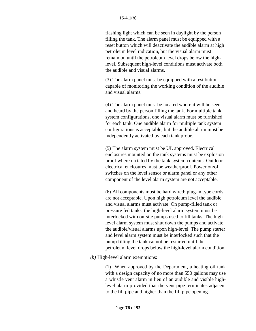flashing light which can be seen in daylight by the person filling the tank. The alarm panel must be equipped with a reset button which will deactivate the audible alarm at high petroleum level indication, but the visual alarm must remain on until the petroleum level drops below the highlevel. Subsequent high-level conditions must activate both the audible and visual alarms.

(3) The alarm panel must be equipped with a test button capable of monitoring the working condition of the audible and visual alarms.

(4) The alarm panel must be located where it will be seen and heard by the person filling the tank. For multiple tank system configurations, one visual alarm must be furnished for each tank. One audible alarm for multiple tank system configurations is acceptable, but the audible alarm must be independently activated by each tank probe.

(5) The alarm system must be UL approved. Electrical enclosures mounted on the tank systems must be explosion proof where dictated by the tank system contents. Outdoor electrical enclosures must be weatherproof. Power on/off switches on the level sensor or alarm panel or any other component of the level alarm system are not acceptable.

(6) All components must be hard wired; plug-in type cords are not acceptable. Upon high petroleum level the audible and visual alarms must activate. On pump-filled tank or pressure fed tanks, the high-level alarm system must be interlocked with on-site pumps used to fill tanks. The highlevel alarm system must shut down the pumps and activate the audible/visual alarms upon high-level. The pump starter and level alarm system must be interlocked such that the pump filling the tank cannot be restarted until the petroleum level drops below the high-level alarm condition.

*(b)* High-level alarm exemptions:

(1) When approved by the Department, a heating oil tank with a design capacity of no more than 550 gallons may use a whistle vent alarm in lieu of an audible and visible highlevel alarm provided that the vent pipe terminates adjacent to the fill pipe and higher than the fill pipe opening.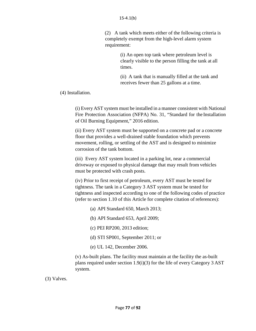(2) A tank which meets either of the following criteria is completely exempt from the high-level alarm system requirement:

> (i) An open top tank where petroleum level is clearly visible to the person filling the tank at all times.

> (ii) A tank that is manually filled at the tank and receives fewer than 25 gallons at a time.

(4) Installation.

(i) Every AST system must be installed in a manner consistent with National Fire Protection Association (NFPA) No. 31, "Standard for the Installation of Oil Burning Equipment," 2016 edition.

(ii) Every AST system must be supported on a concrete pad or a concrete floor that provides a well-drained stable foundation which prevents movement, rolling, or settling of the AST and is designed to minimize corrosion of the tank bottom.

(iii) Every AST system located in a parking lot, near a commercial driveway or exposed to physical damage that may result from vehicles must be protected with crash posts.

(iv) Prior to first receipt of petroleum, every AST must be tested for tightness. The tank in a Category 3 AST system must be tested for tightness and inspected according to one of the following codes of practice (refer to section 1.10 of this Article for complete citation of references):

- (a) API Standard 650, March 2013;
- (b) API Standard 653, April 2009;
- (c) PEI RP200, 2013 edition;
- (d) STI SP001, September 2011; or
- (e) UL 142, December 2006.

(v) As-built plans. The facility must maintain at the facility the as-built plans required under section 1.9(i)(3) for the life of every Category 3 AST system.

(3) Valves.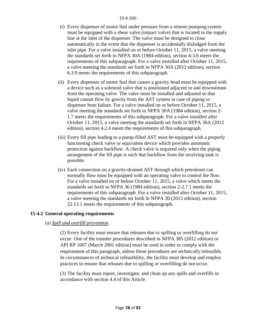#### 15-4.1(b)

- (i) Every dispenser of motor fuel under pressure from a remote pumping system must be equipped with a shear valve (impact valve) that is located in the supply line at the inlet of the dispenser. The valve must be designed to close automatically in the event that the dispenser is accidentally dislodged from the inlet pipe. For a valve installed on or before October 11, 2015, a valve meeting the standards set forth in NFPA 30A (1984 edition), section 4-3.6 meets the requirements of this subparagraph. For a valve installed after October 11, 2015, a valve meeting the standards set forth in NFPA 30A (2012 edition), section 6.3.9 meets the requirements of this subparagraph.
- (ii) Every dispenser of motor fuel that causes a gravity head must be equipped with a device such as a solenoid valve that is positioned adjacent to and downstream from the operating valve. The valve must be installed and adjusted so that liquid cannot flow by gravity from the AST system in case of piping or dispenser hose failure. For a valve installed on or before October 11, 2015, a valve meeting the standards set forth in NFPA 30A (1984 edition), section 2- 1.7 meets the requirements of this subparagraph. For a valve installed after October 11, 2015, a valve meeting the standards set forth in NFPA 30A (2012 edition), section 4.2.4 meets the requirements of this subparagraph.
- (iii) Every fill pipe leading to a pump-filled AST must be equipped with a properly functioning check valve or equivalent device which provides automatic protection against backflow. A check valve is required only when the piping arrangement of the fill pipe is such that backflow from the receiving tank is possible.
- (iv) Each connection on a gravity-drained AST through which petroleum can normally flow must be equipped with an operating valve to control the flow. For a valve installed on or before October 11, 2015, a valve which meets the standards set forth in NFPA 30 (1984 edition), section 2-2.7.1 meets the requirements of this subparagraph. For a valve installed after October 11, 2015, a valve meeting the standards set forth in NFPA 30 (2012 edition), section 22.13.1 meets the requirements of this subparagraph.

## **15-4.2 General operating requirements**

## (a) *Spill and overfill prevention*.

(2) Every facility must ensure that releases due to spilling or overfilling do not occur. One of the transfer procedures described in NFPA 385 (2012 edition) or API RP 1007 (March 2001 edition) must be used in order to comply with the requirement of this paragraph, unless those procedures are technically infeasible. In circumstances of technical infeasibility, the facility must develop and employ practices to ensure that releases due to spilling or overfilling do not occur.

(3) The facility must report, investigate, and clean up any spills and overfills in accordance with section 4.4 of this Article.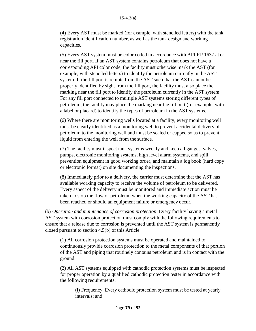(4) Every AST must be marked (for example, with stenciled letters) with the tank registration identification number, as well as the tank design and working capacities.

(5) Every AST system must be color coded in accordance with API RP 1637 at or near the fill port. If an AST system contains petroleum that does not have a corresponding API color code, the facility must otherwise mark the AST (for example, with stenciled letters) to identify the petroleum currently in the AST system. If the fill port is remote from the AST such that the AST cannot be properly identified by sight from the fill port, the facility must also place the marking near the fill port to identify the petroleum currently in the AST system. For any fill port connected to multiple AST systems storing different types of petroleum, the facility may place the marking near the fill port (for example, with a label or placard) to identify the types of petroleum in the AST systems.

(6) Where there are monitoring wells located at a facility, every monitoring well must be clearly identified as a monitoring well to prevent accidental delivery of petroleum to the monitoring well and must be sealed or capped so as to prevent liquid from entering the well from the surface.

(7) The facility must inspect tank systems weekly and keep all gauges, valves, pumps, electronic monitoring systems, high level alarm systems, and spill prevention equipment in good working order, and maintain a log book (hard copy or electronic format) on site documenting the inspections.

(8) Immediately prior to a delivery, the carrier must determine that the AST has available working capacity to receive the volume of petroleum to be delivered. Every aspect of the delivery must be monitored and immediate action must be taken to stop the flow of petroleum when the working capacity of the AST has been reached or should an equipment failure or emergency occur.

(b) *Operation and maintenance of corrosion protection*. Every facility having a metal AST system with corrosion protection must comply with the following requirements to ensure that a release due to corrosion is prevented until the AST system is permanently closed pursuant to section 4.5(b) of this Article:

(1) All corrosion protection systems must be operated and maintained to continuously provide corrosion protection to the metal components of that portion of the AST and piping that routinely contains petroleum and is in contact with the ground.

(2) All AST systems equipped with cathodic protection systems must be inspected for proper operation by a qualified cathodic protection tester in accordance with the following requirements:

(i) Frequency. Every cathodic protection system must be tested at yearly intervals; and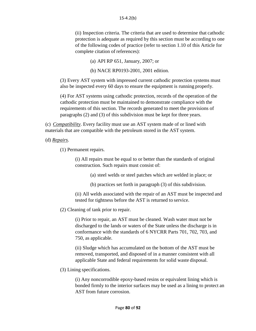(ii) Inspection criteria. The criteria that are used to determine that cathodic protection is adequate as required by this section must be according to one of the following codes of practice (refer to section 1.10 of this Article for complete citation of references):

(a) API RP 651, January, 2007; or

(b) NACE RP0193-2001, 2001 edition.

(3) Every AST system with impressed current cathodic protection systems must also be inspected every 60 days to ensure the equipment is running properly.

(4) For AST systems using cathodic protection, records of the operation of the cathodic protection must be maintained to demonstrate compliance with the requirements of this section. The records generated to meet the provisions of paragraphs (2) and (3) of this subdivision must be kept for three years.

(c) *Compatibility*. Every facility must use an AST system made of or lined with materials that are compatible with the petroleum stored in the AST system.

(d) *Repairs*.

(1) Permanent repairs.

(i) All repairs must be equal to or better than the standards of original construction. Such repairs must consist of:

(a) steel welds or steel patches which are welded in place; or

(b) practices set forth in paragraph (3) of this subdivision.

(ii) All welds associated with the repair of an AST must be inspected and tested for tightness before the AST is returned to service.

(2) Cleaning of tank prior to repair.

(i) Prior to repair, an AST must be cleaned. Wash water must not be discharged to the lands or waters of the State unless the discharge is in conformance with the standards of 6 NYCRR Parts 701, 702, 703, and 750, as applicable.

(ii) Sludge which has accumulated on the bottom of the AST must be removed, transported, and disposed of in a manner consistent with all applicable State and federal requirements for solid waste disposal.

(3) Lining specifications.

(i) Any noncorrodible epoxy-based resins or equivalent lining which is bonded firmly to the interior surfaces may be used as a lining to protect an AST from future corrosion.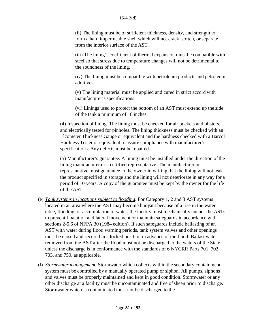(ii) The lining must be of sufficient thickness, density, and strength to form a hard impermeable shell which will not crack, soften, or separate from the interior surface of the AST.

(iii) The lining's coefficient of thermal expansion must be compatible with steel so that stress due to temperature changes will not be detrimental to the soundness of the lining.

(iv) The lining must be compatible with petroleum products and petroleum additives.

(v) The lining material must be applied and cured in strict accord with manufacturer's specifications.

(vi) Linings used to protect the bottom of an AST must extend up the side of the tank a minimum of 18 inches.

(4) Inspection of lining. The lining must be checked for air pockets and blisters, and electrically tested for pinholes. The lining thickness must be checked with an Elcometer Thickness Gauge or equivalent and the hardness checked with a Barcol Hardness Tester or equivalent to assure compliance with manufacturer's specifications. Any defects must be repaired.

(5) Manufacturer's guarantee. A lining must be installed under the direction of the lining manufacturer or a certified representative. The manufacturer or representative must guarantee to the owner in writing that the lining will not leak the product specified in storage and the lining will not deteriorate in any way for a period of 10 years. A copy of the guarantee must be kept by the owner for the life of the AST.

- (e) *Tank systems in locations subject to flooding*. For Category 1, 2 and 3 AST systems located in an area where the AST may become buoyant because of a rise in the water table, flooding, or accumulation of water, the facility must mechanically anchor the ASTs to prevent floatation and lateral movement or maintain safeguards in accordance with sections 2-5.6 of NFPA 30 (1984 edition). If such safeguards include ballasting of an AST with water during flood warning periods, tank system valves and other openings must be closed and secured in a locked position in advance of the flood. Ballast water removed from the AST after the flood must not be discharged to the waters of the State unless the discharge is in conformance with the standards of 6 NYCRR Parts 701, 702, 703, and 750, as applicable.
- (f) *Stormwater management*. Stormwater which collects within the secondary containment system must be controlled by a manually operated pump or siphon. All pumps, siphons and valves must be properly maintained and kept in good condition. Stormwater or any other discharge at a facility must be uncontaminated and free ofsheen prior to discharge. Stormwater which is contaminated must not be discharged to the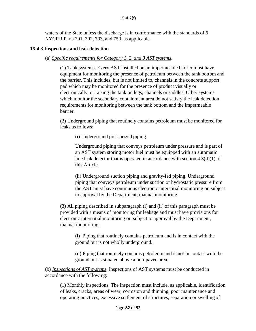waters of the State unless the discharge is in conformance with the standards of 6 NYCRR Parts 701, 702, 703, and 750, as applicable.

## **15-4.3 Inspections and leak detection**

(a) *Specific requirements for Category 1, 2, and 3 AST systems*.

(1) Tank systems. Every AST installed on an impermeable barrier must have equipment for monitoring the presence of petroleum between the tank bottom and the barrier. This includes, but is not limited to, channels in the concrete support pad which may be monitored for the presence of product visually or electronically, or raising the tank on legs, channels or saddles. Other systems which monitor the secondary containment area do not satisfy the leak detection requirements for monitoring between the tank bottom and the impermeable barrier.

(2) Underground piping that routinely contains petroleum must be monitored for leaks as follows:

(i) Underground pressurized piping.

Underground piping that conveys petroleum under pressure and is part of an AST system storing motor fuel must be equipped with an automatic line leak detector that is operated in accordance with section  $4.3(d)(1)$  of this Article.

(ii) Underground suction piping and gravity-fed piping. Underground piping that conveys petroleum under suction or hydrostatic pressure from the AST must have continuous electronic interstitial monitoring or, subject to approval by the Department, manual monitoring.

(3) All piping described in subparagraph (i) and (ii) of this paragraph must be provided with a means of monitoring for leakage and must have provisions for electronic interstitial monitoring or, subject to approval by the Department, manual monitoring.

(i) Piping that routinely contains petroleum and is in contact with the ground but is not wholly underground.

(ii) Piping that routinely contains petroleum and is not in contact with the ground but is situated above a non-paved area.

(b) *Inspections of AST systems*. Inspections of AST systems must be conducted in accordance with the following:

(1) Monthly inspections. The inspection must include, as applicable, identification of leaks, cracks, areas of wear, corrosion and thinning, poor maintenance and operating practices, excessive settlement of structures, separation or swelling of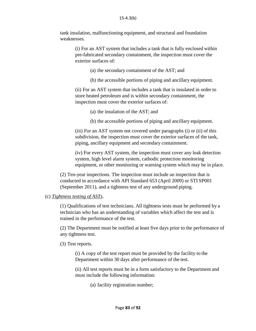tank insulation, malfunctioning equipment, and structural and foundation weaknesses.

> (i) For an AST system that includes a tank that is fully enclosed within pre-fabricated secondary containment, the inspection must cover the exterior surfaces of:

- (a) the secondary containment of the AST; and
- (b) the accessible portions of piping and ancillary equipment.

(ii) For an AST system that includes a tank that is insulated in order to store heated petroleum and is within secondary containment, the inspection must cover the exterior surfaces of:

- (a) the insulation of the AST; and
- (b) the accessible portions of piping and ancillary equipment.

(iii) For an AST system not covered under paragraphs (i) or (ii) of this subdivision*,* the inspection must cover the exterior surfaces of the tank, piping, ancillary equipment and secondary containment.

(iv) For every AST system, the inspection must cover any leak detection system, high level alarm system, cathodic protection monitoring equipment, or other monitoring or warning system which may be in place.

(2) Ten-year inspections. The inspection must include an inspection that is conducted in accordance with API Standard 653 (April 2009) or STI SP001 (September 2011), and a tightness test of any underground piping.

### (c) *Tightness testing of ASTs*.

(1) Qualifications of test technicians. All tightness tests must be performed by a technician who has an understanding of variables which affect the test and is trained in the performance of the test.

(2) The Department must be notified at least five days prior to the performance of any tightness test.

(3) Test reports.

(i) A copy of the test report must be provided by the facility to the Department within 30 days after performance of the test.

(ii) All test reports must be in a form satisfactory to the Department and must include the following information:

(a) facility registration number;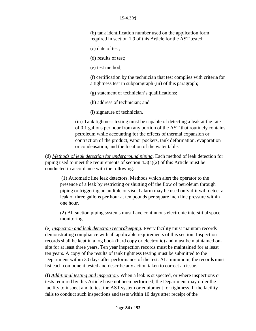(b) tank identification number used on the application form required in section 1.9 of this Article for the AST tested;

(c) date of test;

(d) results of test;

(e) test method;

(f) certification by the technician that test complies with criteria for a tightness test in subparagraph (iii) of this paragraph;

(g) statement of technician's qualifications;

(h) address of technician; and

(i) signature of technician.

(iii) Tank tightness testing must be capable of detecting a leak at the rate of 0.1 gallons per hour from any portion of the AST that routinely contains petroleum while accounting for the effects of thermal expansion or contraction of the product, vapor pockets, tank deformation, evaporation or condensation, and the location of the water table.

(d) *Methods of leak detection for underground piping*. Each method of leak detection for piping used to meet the requirements of section  $4.3(a)(2)$  of this Article must be conducted in accordance with the following:

(1) Automatic line leak detectors. Methods which alert the operator to the presence of a leak by restricting or shutting off the flow of petroleum through piping or triggering an audible or visual alarm may be used only if it will detect a leak of three gallons per hour at ten pounds per square inch line pressure within one hour.

(2) All suction piping systems must have continuous electronic interstitial space monitoring.

(e) *Inspection and leak detection recordkeeping*. Every facility must maintain records demonstrating compliance with all applicable requirements of this section. Inspection records shall be kept in a log book (hard copy or electronic) and must be maintained onsite for at least three years. Ten year inspection records must be maintained for at least ten years. A copy of the results of tank tightness testing must be submitted to the Department within 30 days after performance of the test. At a minimum, the records must list each component tested and describe any action taken to correct an issue.

(f) *Additional testing and inspection*. When a leak is suspected, or where inspections or tests required by this Article have not been performed, the Department may order the facility to inspect and to test the AST system or equipment for tightness. If the facility fails to conduct such inspections and tests within 10 days after receipt of the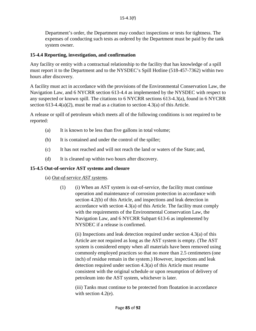Department's order, the Department may conduct inspections or tests for tightness. The expenses of conducting such tests as ordered by the Department must be paid by the tank system owner.

## **15-4.4 Reporting, investigation, and confirmation**

Any facility or entity with a contractual relationship to the facility that has knowledge of a spill must report it to the Department and to the NYSDEC's Spill Hotline (518-457-7362) within two hours after discovery.

A facility must act in accordance with the provisions of the Environmental Conservation Law, the Navigation Law, and 6 NYCRR section 613-4.4 as implemented by the NYSDEC with respect to any suspected or known spill. The citations to 6 NYCRR sections 613-4.3(a), found in 6 NYCRR section  $613-4.4(a)(2)$ , must be read as a citation to section  $4.3(a)$  of this Article.

A release or spill of petroleum which meets all of the following conditions is not required to be reported:

- (a) It is known to be less than five gallons in total volume;
- (b) It is contained and under the control of the spiller;
- (c) It has not reached and will not reach the land or waters of the State; and,
- (d) It is cleaned up within two hours after discovery.

### **15-4.5 Out-of-service AST systems and closure**

### (a) *Out-of-service AST systems*.

 $(1)$  (i) When an AST system is out-of-service, the facility must continue operation and maintenance of corrosion protection in accordance with section 4.2(b) of this Article, and inspections and leak detection in accordance with section 4.3(a) of this Article. The facility must comply with the requirements of the Environmental Conservation Law, the Navigation Law, and 6 NYCRR Subpart 613-6 as implemented by NYSDEC if a release is confirmed.

(ii) Inspections and leak detection required under section  $4.3(a)$  of this Article are not required as long as the AST system is empty. (The AST system is considered empty when all materials have been removed using commonly employed practices so that no more than 2.5 centimeters (one inch) of residue remain in the system.) However, inspections and leak detection required under section 4.3(a) of this Article must resume consistent with the original schedule or upon resumption of delivery of petroleum into the AST system, whichever is later.

(iii) Tanks must continue to be protected from floatation in accordance with section 4.2(e).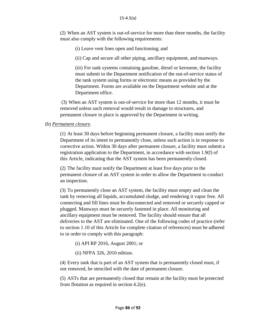(2) When an AST system is out-of-service for more than three months, the facility must also comply with the following requirements:

(i) Leave vent lines open and functioning; and

(ii) Cap and secure all other piping, ancillary equipment, and manways.

(iii) For tank systems containing gasoline, diesel or kerosene, the facility must submit to the Department notification of the out-of-service status of the tank system using forms or electronic means as provided by the Department. Forms are available on the Department website and at the Department office.

(3) When an AST system is out-of-service for more than 12 months, it must be removed unless such removal would result in damage to structures, and permanent closure in place is approved by the Department in writing.

## (b) *Permanent closure*.

(1) At least 30 days before beginning permanent closure, a facility must notify the Department of its intent to permanently close, unless such action is in response to corrective action. Within 30 days after permanent closure, a facility must submit a registration application to the Department, in accordance with section 1.9(f) of this Article, indicating that the AST system has been permanently closed.

(2) The facility must notify the Department at least five days prior to the permanent closure of an AST system in order to allow the Department to conduct an inspection.

(3) To permanently close an AST system, the facility must empty and clean the tank by removing all liquids, accumulated sludge, and rendering it vapor free. All connecting and fill lines must be disconnected and removed or securely capped or plugged. Manways must be securely fastened in place. All monitoring and ancillary equipment must be removed. The facility should ensure that all deliveries to the AST are eliminated. One of the following codes of practice (refer to section 1.10 of this Article for complete citation of references) must be adhered to in order to comply with this paragraph:

(i) API RP 2016, August 2001; or

(ii) NFPA 326, 2010 edition.

(4) Every tank that is part of an AST system that is permanently closed must, if not removed, be stenciled with the date of permanent closure.

(5) ASTs that are permanently closed that remain at the facility must be protected from flotation as required in section 4.2(e).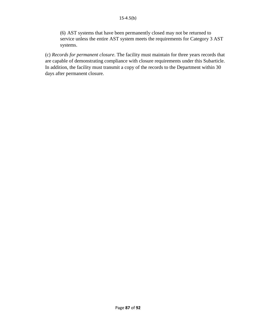(6) AST systems that have been permanently closed may not be returned to service unless the entire AST system meets the requirements for Category 3 AST systems.

(c) *Records for permanent closure*. The facility must maintain for three years records that are capable of demonstrating compliance with closure requirements under this Subarticle. In addition, the facility must transmit a copy of the records to the Department within 30 days after permanent closure.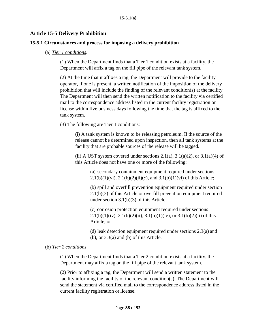## **Article 15-5 Delivery Prohibition**

#### **15-5.1 Circumstances and process for imposing a delivery prohibition**

#### (a) *Tier 1 conditions*.

(1) When the Department finds that a Tier 1 condition exists at a facility, the Department will affix a tag on the fill pipe of the relevant tank system.

(2) At the time that it affixes a tag, the Department will provide to the facility operator, if one is present, a written notification of the imposition of the delivery prohibition that will include the finding of the relevant condition(s) at the facility. The Department will then send the written notification to the facility via certified mail to the correspondence address listed in the current facility registration or license within five business days following the time that the tag is affixed to the tank system.

(3) The following are Tier 1 conditions:

(i) A tank system is known to be releasing petroleum. If the source of the release cannot be determined upon inspection, then all tank systems at the facility that are probable sources of the release will be tagged.

(ii) A UST system covered under sections  $2.1(a)$ ,  $3.1(a)(2)$ , or  $3.1(a)(4)$  of this Article does not have one or more of the following:

> (a) secondary containment equipment required under sections 2.1(b)(1)(vi), 2.1(b)(2)(ii)(c), and  $3.1(b)(1)(vi)$  of this Article;

(b) spill and overfill prevention equipment required under section 2.1(b)(3) of this Article or overfill prevention equipment required under section 3.1(b)(3) of this Article;

(c) corrosion protection equipment required under sections 2.1(b)(1)(iv), 2.1(b)(2)(ii), 3.1(b)(1)(iv), or 3.1(b)(2)(ii) of this Article; or

(d) leak detection equipment required under sections 2.3(a) and  $(b)$ , or  $3.3(a)$  and  $(b)$  of this Article.

### (b) *Tier 2 conditions*.

(1) When the Department finds that a Tier 2 condition exists at a facility, the Department may affix a tag on the fill pipe of the relevant tank system.

(2) Prior to affixing a tag, the Department will send a written statement to the facility informing the facility of the relevant condition(s). The Department will send the statement via certified mail to the correspondence address listed in the current facility registration or license.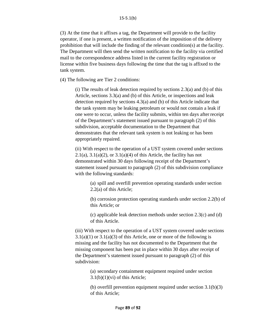(3) At the time that it affixes a tag, the Department will provide to the facility operator, if one is present, a written notification of the imposition of the delivery prohibition that will include the finding of the relevant condition(s) at the facility. The Department will then send the written notification to the facility via certified mail to the correspondence address listed in the current facility registration or license within five business days following the time that the tag is affixed to the tank system.

(4) The following are Tier 2 conditions:

(i) The results of leak detection required by sections  $2.3(a)$  and (b) of this Article, sections 3.3(a) and (b) of this Article, or inspections and leak detection required by sections 4.3(a) and (b) of this Article indicate that the tank system may be leaking petroleum or would not contain a leak if one were to occur, unless the facility submits, within ten days after receipt of the Department's statement issued pursuant to paragraph (2) of this subdivision, acceptable documentation to the Department that demonstrates that the relevant tank system is not leaking or has been appropriately repaired.

(ii) With respect to the operation of a UST system covered under sections 2.1(a),  $3.1(a)(2)$ , or  $3.1(a)(4)$  of this Article, the facility has not demonstrated within 30 days following receipt of the Department's statement issued pursuant to paragraph (2) of this subdivision compliance with the following standards:

> (a) spill and overfill prevention operating standards under section 2.2(a) of this Article;

(b) corrosion protection operating standards under section 2.2(b) of this Article; or

(c) applicable leak detection methods under section 2.3(c) and (d) of this Article.

(iii) With respect to the operation of a UST system covered under sections  $3.1(a)(1)$  or  $3.1(a)(3)$  of this Article, one or more of the following is missing and the facility has not documented to the Department that the missing component has been put in place within 30 days after receipt of the Department's statement issued pursuant to paragraph (2) of this subdivision:

(a) secondary containment equipment required under section  $3.1(b)(1)(vi)$  of this Article;

(b) overfill prevention equipment required under section 3.1(b)(3) of this Article;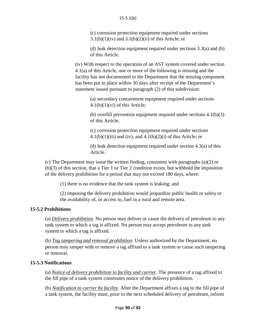(c) corrosion protection equipment required under sections  $3.1(b)(1)(iv)$  and  $3.1(b)(2)(ii)$  of this Article; or

(d) leak detection equipment required under sections 3.3(a) and (b) of this Article.

(iv) With respect to the operation of an AST system covered under section 4.1(a) of this Article, one or more of the following is missing and the facility has not documented to the Department that the missing component has been put in place within 30 days after receipt of the Department's statement issued pursuant to paragraph (2) of this subdivision:

> (a) secondary containment equipment required under sections  $4.1(b)(1)(vi)$  of this Article;

(b) overfill prevention equipment required under sections  $4.1(b)(3)$ of this Article;

(c) corrosion protection equipment required under sections  $4.1(b)(1)(iii)$  and (iv), and  $4.1(b)(2)(i)$  of this Article; or

(d) leak detection equipment required under section  $4.3(a)$  of this Article.

(c) The Department may issue the written finding, consistent with paragraphs (a)(2) or (b)(3) of this section, that a Tier 1 or Tier 2 condition exists, but withhold the imposition of the delivery prohibition for a period that may not exceed 180 days, where:

(1) there is no evidence that the tank system is leaking; and

(2) imposing the delivery prohibition would jeopardize public health or safety or the availability of, or access to, fuel in a rural and remote area.

# **15-5.2 Prohibitions**

(a) *Delivery prohibition*. No person may deliver or cause the delivery of petroleum to any tank system to which a tag is affixed. No person may accept petroleum to any tank system to which a tag is affixed.

(b) *Tag tampering and removal prohibition*. Unless authorized by the Department, no person may tamper with or remove a tag affixed to a tank system or cause such tampering or removal.

# **15-5.3 Notifications**

(a) *Notice of delivery prohibition to facility and carrier*. The presence of a tag affixed to the fill pipe of a tank system constitutes notice of the delivery prohibition.

(b) *Notification to carrier by facility*. After the Department affixes a tag to the fill pipe of a tank system, the facility must, prior to the next scheduled delivery of petroleum, inform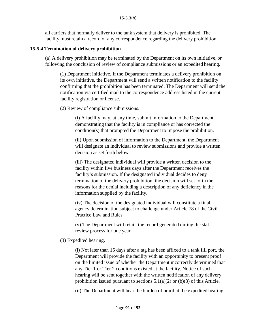all carriers that normally deliver to the tank system that delivery is prohibited. The facility must retain a record of any correspondence regarding the delivery prohibition.

## **15-5.4 Termination of delivery prohibition**

(a) A delivery prohibition may be terminated by the Department on its own initiative, or following the conclusion of review of compliance submissions or an expedited hearing.

(1) Department initiative. If the Department terminates a delivery prohibition on its own initiative, the Department will send a written notification to the facility confirming that the prohibition has been terminated. The Department will send the notification via certified mail to the correspondence address listed in the current facility registration or license.

(2) Review of compliance submissions.

(i) A facility may, at any time, submit information to the Department demonstrating that the facility is in compliance or has corrected the condition(s) that prompted the Department to impose the prohibition.

(ii) Upon submission of information to the Department, the Department will designate an individual to review submissions and provide a written decision as set forth below.

(iii) The designated individual will provide a written decision to the facility within five business days after the Department receives the facility's submission. If the designated individual decides to deny termination of the delivery prohibition, the decision will set forth the reasons for the denial including a description of any deficiency in the information supplied by the facility.

(iv) The decision of the designated individual will constitute a final agency determination subject to challenge under Article 78 of the Civil Practice Law and Rules.

(v) The Department will retain the record generated during the staff review process for one year.

# (3) Expedited hearing.

(i) Not later than 15 days after a tag has been affixed to a tank fill port, the Department will provide the facility with an opportunity to present proof on the limited issue of whether the Department incorrectly determined that any Tier 1 or Tier 2 conditions existed at the facility. Notice of such hearing will be sent together with the written notification of any delivery prohibition issued pursuant to sections  $5.1(a)(2)$  or (b)(3) of this Article.

(ii) The Department will bear the burden of proof at the expedited hearing.